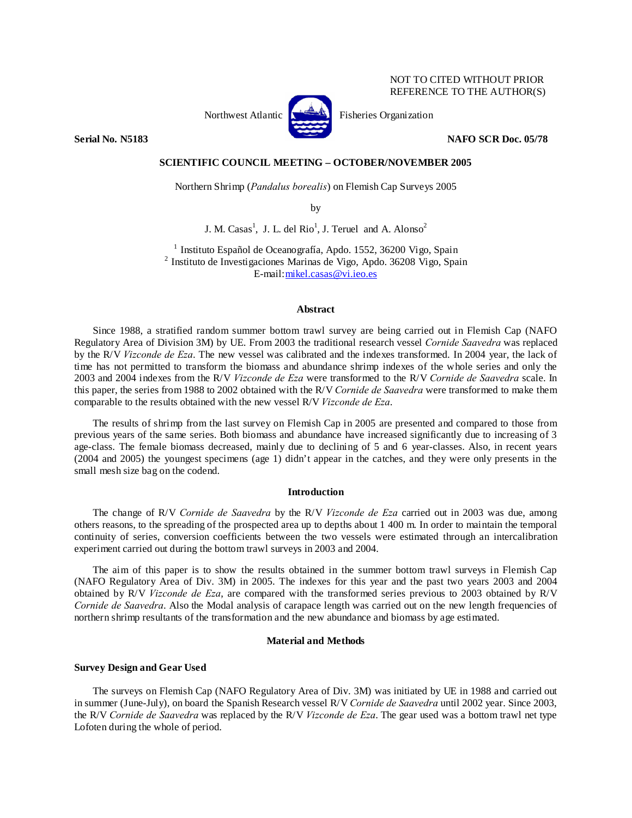## NOT TO CITED WITHOUT PRIOR REFERENCE TO THE AUTHOR(S)



Northwest Atlantic **No. 3. Expansion** Fisheries Organization

**Serial No. N5183 NAFO SCR Doc. 05/78** 

### **SCIENTIFIC COUNCIL MEETING – OCTOBER/NOVEMBER 2005**

Northern Shrimp (*Pandalus borealis*) on Flemish Cap Surveys 2005

by

J. M. Casas<sup>1</sup>, J. L. del Rio<sup>1</sup>, J. Teruel and A. Alonso<sup>2</sup>

 $^{\rm 1}$  Instituto Español de Oceanografía, Apdo. 1552, 36200 Vigo, Spain $^{\rm 2}$  Instituto de Investigaciones Marinas de Vigo, Apdo. 36208 Vigo, Spain E-mail:mikel.casas@vi.ieo.es

## **Abstract**

Since 1988, a stratified random summer bottom trawl survey are being carried out in Flemish Cap (NAFO Regulatory Area of Division 3M) by UE. From 2003 the traditional research vessel *Cornide Saavedra* was replaced by the R/V *Vizconde de Eza*. The new vessel was calibrated and the indexes transformed. In 2004 year, the lack of time has not permitted to transform the biomass and abundance shrimp indexes of the whole series and only the 2003 and 2004 indexes from the R/V *Vizconde de Eza* were transformed to the R/V *Cornide de Saavedra* scale. In this paper, the series from 1988 to 2002 obtained with the R/V *Cornide de Saavedra* were transformed to make them comparable to the results obtained with the new vessel R/V *Vizconde de Eza*.

The results of shrimp from the last survey on Flemish Cap in 2005 are presented and compared to those from previous years of the same series. Both biomass and abundance have increased significantly due to increasing of 3 age-class. The female biomass decreased, mainly due to declining of 5 and 6 year-classes. Also, in recent years (2004 and 2005) the youngest specimens (age 1) didn't appear in the catches, and they were only presents in the small mesh size bag on the codend.

## **Introduction**

The change of R/V *Cornide de Saavedra* by the R/V *Vizconde de Eza* carried out in 2003 was due, among others reasons, to the spreading of the prospected area up to depths about 1 400 m. In order to maintain the temporal continuity of series, conversion coefficients between the two vessels were estimated through an intercalibration experiment carried out during the bottom trawl surveys in 2003 and 2004.

The aim of this paper is to show the results obtained in the summer bottom trawl surveys in Flemish Cap (NAFO Regulatory Area of Div. 3M) in 2005. The indexes for this year and the past two years 2003 and 2004 obtained by R/V *Vizconde de Eza*, are compared with the transformed series previous to 2003 obtained by R/V *Cornide de Saavedra*. Also the Modal analysis of carapace length was carried out on the new length frequencies of northern shrimp resultants of the transformation and the new abundance and biomass by age estimated.

## **Material and Methods**

## **Survey Design and Gear Used**

The surveys on Flemish Cap (NAFO Regulatory Area of Div. 3M) was initiated by UE in 1988 and carried out in summer (June-July), on board the Spanish Research vessel R/V *Cornide de Saavedra* until 2002 year. Since 2003, the R/V *Cornide de Saavedra* was replaced by the R/V *Vizconde de Eza*. The gear used was a bottom trawl net type Lofoten during the whole of period.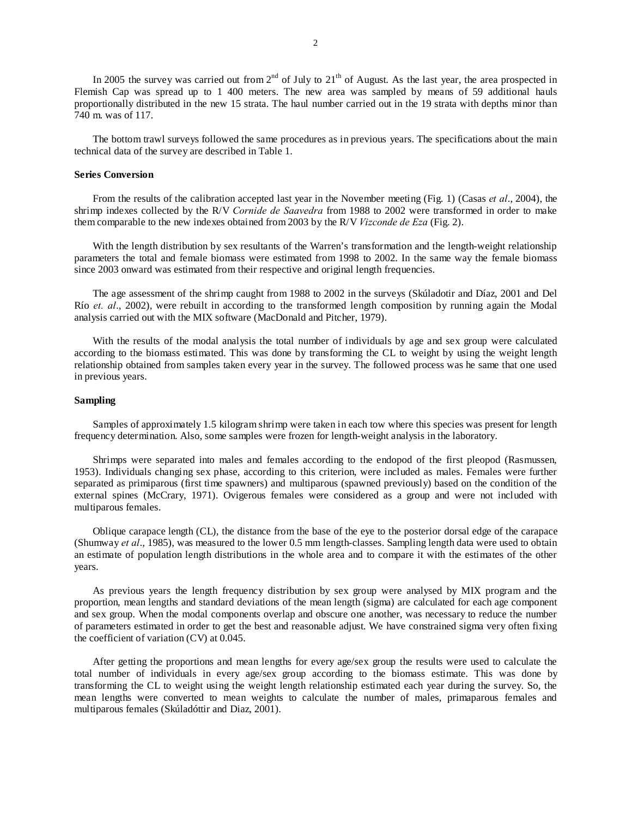In 2005 the survey was carried out from  $2<sup>nd</sup>$  of July to  $21<sup>th</sup>$  of August. As the last year, the area prospected in Flemish Cap was spread up to 1 400 meters. The new area was sampled by means of 59 additional hauls proportionally distributed in the new 15 strata. The haul number carried out in the 19 strata with depths minor than 740 m. was of 117.

The bottom trawl surveys followed the same procedures as in previous years. The specifications about the main technical data of the survey are described in Table 1.

#### **Series Conversion**

From the results of the calibration accepted last year in the November meeting (Fig. 1) (Casas *et al*., 2004), the shrimp indexes collected by the R/V *Cornide de Saavedra* from 1988 to 2002 were transformed in order to make them comparable to the new indexes obtained from 2003 by the R/V *Vizconde de Eza* (Fig. 2).

With the length distribution by sex resultants of the Warren's transformation and the length-weight relationship parameters the total and female biomass were estimated from 1998 to 2002. In the same way the female biomass since 2003 onward was estimated from their respective and original length frequencies.

The age assessment of the shrimp caught from 1988 to 2002 in the surveys (Skúladotir and Díaz, 2001 and Del Río *et. al*., 2002), were rebuilt in according to the transformed length composition by running again the Modal analysis carried out with the MIX software (MacDonald and Pitcher, 1979).

With the results of the modal analysis the total number of individuals by age and sex group were calculated according to the biomass estimated. This was done by transforming the CL to weight by using the weight length relationship obtained from samples taken every year in the survey. The followed process was he same that one used in previous years.

#### **Sampling**

Samples of approximately 1.5 kilogram shrimp were taken in each tow where this species was present for length frequency determination. Also, some samples were frozen for length-weight analysis in the laboratory.

Shrimps were separated into males and females according to the endopod of the first pleopod (Rasmussen, 1953). Individuals changing sex phase, according to this criterion, were included as males. Females were further separated as primiparous (first time spawners) and multiparous (spawned previously) based on the condition of the external spines (McCrary, 1971). Ovigerous females were considered as a group and were not included with multiparous females.

Oblique carapace length (CL), the distance from the base of the eye to the posterior dorsal edge of the carapace (Shumway *et al*., 1985), was measured to the lower 0.5 mm length-classes. Sampling length data were used to obtain an estimate of population length distributions in the whole area and to compare it with the estimates of the other years.

As previous years the length frequency distribution by sex group were analysed by MIX program and the proportion, mean lengths and standard deviations of the mean length (sigma) are calculated for each age component and sex group. When the modal components overlap and obscure one another, was necessary to reduce the number of parameters estimated in order to get the best and reasonable adjust. We have constrained sigma very often fixing the coefficient of variation (CV) at 0.045.

After getting the proportions and mean lengths for every age/sex group the results were used to calculate the total number of individuals in every age/sex group according to the biomass estimate. This was done by transforming the CL to weight using the weight length relationship estimated each year during the survey. So, the mean lengths were converted to mean weights to calculate the number of males, primaparous females and multiparous females (Skúladóttir and Diaz, 2001).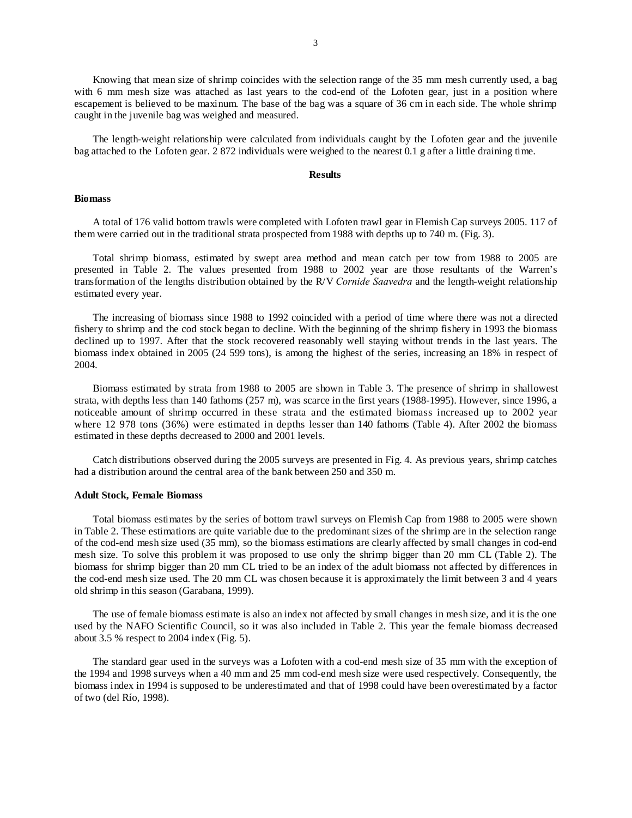Knowing that mean size of shrimp coincides with the selection range of the 35 mm mesh currently used, a bag with 6 mm mesh size was attached as last years to the cod-end of the Lofoten gear, just in a position where escapement is believed to be maxinum. The base of the bag was a square of 36 cm in each side. The whole shrimp caught in the juvenile bag was weighed and measured.

The length-weight relationship were calculated from individuals caught by the Lofoten gear and the juvenile bag attached to the Lofoten gear. 2 872 individuals were weighed to the nearest 0.1 g after a little draining time.

#### **Results**

#### **Biomass**

A total of 176 valid bottom trawls were completed with Lofoten trawl gear in Flemish Cap surveys 2005. 117 of them were carried out in the traditional strata prospected from 1988 with depths up to 740 m. (Fig. 3).

Total shrimp biomass, estimated by swept area method and mean catch per tow from 1988 to 2005 are presented in Table 2. The values presented from 1988 to 2002 year are those resultants of the Warren's transformation of the lengths distribution obtained by the R/V *Cornide Saavedra* and the length-weight relationship estimated every year.

The increasing of biomass since 1988 to 1992 coincided with a period of time where there was not a directed fishery to shrimp and the cod stock began to decline. With the beginning of the shrimp fishery in 1993 the biomass declined up to 1997. After that the stock recovered reasonably well staying without trends in the last years. The biomass index obtained in 2005 (24 599 tons), is among the highest of the series, increasing an 18% in respect of 2004.

Biomass estimated by strata from 1988 to 2005 are shown in Table 3. The presence of shrimp in shallowest strata, with depths less than 140 fathoms (257 m), was scarce in the first years (1988-1995). However, since 1996, a noticeable amount of shrimp occurred in these strata and the estimated biomass increased up to 2002 year where 12 978 tons (36%) were estimated in depths lesser than 140 fathoms (Table 4). After 2002 the biomass estimated in these depths decreased to 2000 and 2001 levels.

Catch distributions observed during the 2005 surveys are presented in Fig. 4. As previous years, shrimp catches had a distribution around the central area of the bank between 250 and 350 m.

#### **Adult Stock, Female Biomass**

Total biomass estimates by the series of bottom trawl surveys on Flemish Cap from 1988 to 2005 were shown in Table 2. These estimations are quite variable due to the predominant sizes of the shrimp are in the selection range of the cod-end mesh size used (35 mm), so the biomass estimations are clearly affected by small changes in cod-end mesh size. To solve this problem it was proposed to use only the shrimp bigger than 20 mm CL (Table 2). The biomass for shrimp bigger than 20 mm CL tried to be an index of the adult biomass not affected by differences in the cod-end mesh size used. The 20 mm CL was chosen because it is approximately the limit between 3 and 4 years old shrimp in this season (Garabana, 1999).

The use of female biomass estimate is also an index not affected by small changes in mesh size, and it is the one used by the NAFO Scientific Council, so it was also included in Table 2. This year the female biomass decreased about 3.5 % respect to 2004 index (Fig. 5).

The standard gear used in the surveys was a Lofoten with a cod-end mesh size of 35 mm with the exception of the 1994 and 1998 surveys when a 40 mm and 25 mm cod-end mesh size were used respectively. Consequently, the biomass index in 1994 is supposed to be underestimated and that of 1998 could have been overestimated by a factor of two (del Río, 1998).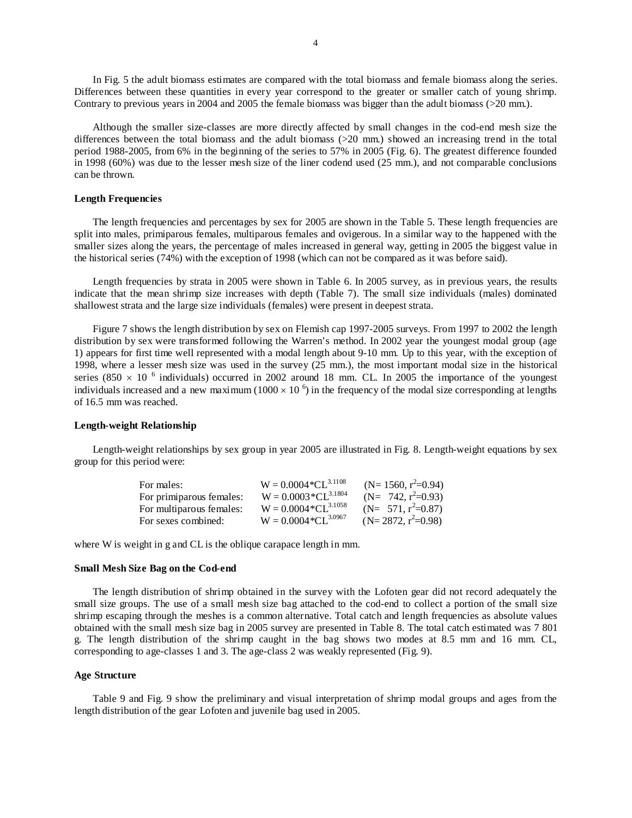In Fig. 5 the adult biomass estimates are compared with the total biomass and female biomass along the series. Differences between these quantities in every year correspond to the greater or smaller catch of young shrimp. Contrary to previous years in 2004 and 2005 the female biomass was bigger than the adult biomass ( $>20$  mm.).

Although the smaller size-classes are more directly affected by small changes in the cod-end mesh size the differences between the total biomass and the adult biomass (>20 mm.) showed an increasing trend in the total period 1988-2005, from 6% in the beginning of the series to 57% in 2005 (Fig. 6). The greatest difference founded in 1998 (60%) was due to the lesser mesh size of the liner codend used (25 mm.), and not comparable conclusions can be thrown.

#### **Length Frequencies**

The length frequencies and percentages by sex for 2005 are shown in the Table 5. These length frequencies are split into males, primiparous females, multiparous females and ovigerous. In a similar way to the happened with the smaller sizes along the years, the percentage of males increased in general way, getting in 2005 the biggest value in the historical series (74%) with the exception of 1998 (which can not be compared as it was before said).

Length frequencies by strata in 2005 were shown in Table 6. In 2005 survey, as in previous years, the results indicate that the mean shrimp size increases with depth (Table 7). The small size individuals (males) dominated shallowest strata and the large size individuals (females) were present in deepest strata.

Figure 7 shows the length distribution by sex on Flemish cap 1997-2005 surveys. From 1997 to 2002 the length distribution by sex were transformed following the Warren's method. In 2002 year the youngest modal group (age 1) appears for first time well represented with a modal length about 9-10 mm. Up to this year, with the exception of 1998, where a lesser mesh size was used in the survey (25 mm.), the most important modal size in the historical series (850  $\times$  10<sup>6</sup> individuals) occurred in 2002 around 18 mm. CL. In 2005 the importance of the youngest individuals increased and a new maximum (1000  $\times$  10  $^6$ ) in the frequency of the modal size corresponding at lengths of 16.5 mm was reached.

## **Length-weight Relationship**

Length-weight relationships by sex group in year 2005 are illustrated in Fig. 8. Length-weight equations by sex group for this period were:

| For males:               | $W = 0.0004 * CL^{3.1108}$ | $(N=1560, r^2=0.94)$  |
|--------------------------|----------------------------|-----------------------|
| For primiparous females: | $W = 0.0003 * CL^{3.1804}$ | (N= 742, $r^2=0.93$ ) |
| For multiparous females: | $W = 0.0004 * CL^{3.1058}$ | $(N= 571, r^2=0.87)$  |
| For sexes combined:      | $W = 0.0004 * CL^{3.0967}$ | $(N=2872, r^2=0.98)$  |

where W is weight in g and CL is the oblique carapace length in mm.

#### **Small Mesh Size Bag on the Cod-end**

The length distribution of shrimp obtained in the survey with the Lofoten gear did not record adequately the small size groups. The use of a small mesh size bag attached to the cod-end to collect a portion of the small size shrimp escaping through the meshes is a common alternative. Total catch and length frequencies as absolute values obtained with the small mesh size bag in 2005 survey are presented in Table 8. The total catch estimated was 7 801 g. The length distribution of the shrimp caught in the bag shows two modes at 8.5 mm and 16 mm. CL, corresponding to age-classes 1 and 3. The age-class 2 was weakly represented (Fig. 9).

#### **Age Structure**

Table 9 and Fig. 9 show the preliminary and visual interpretation of shrimp modal groups and ages from the length distribution of the gear Lofoten and juvenile bag used in 2005.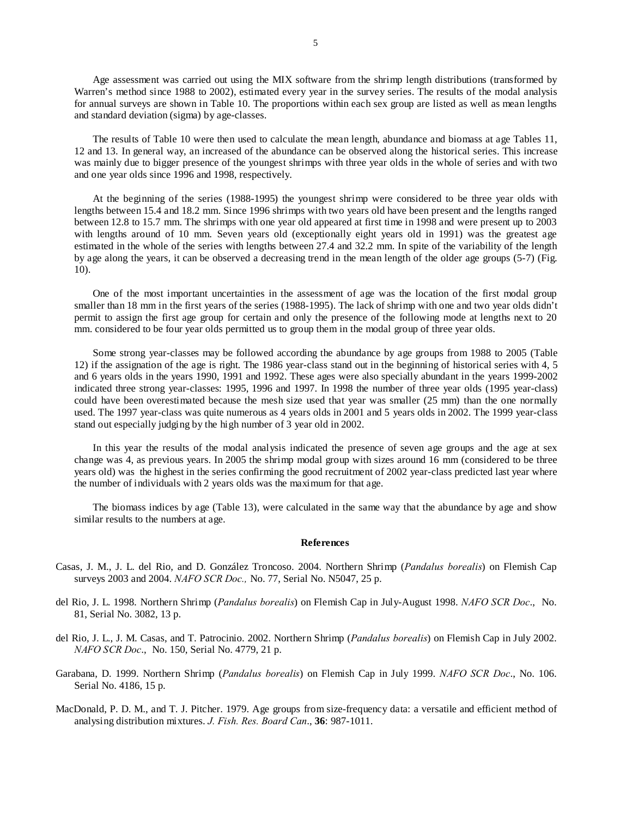Age assessment was carried out using the MIX software from the shrimp length distributions (transformed by Warren's method since 1988 to 2002), estimated every year in the survey series. The results of the modal analysis for annual surveys are shown in Table 10. The proportions within each sex group are listed as well as mean lengths and standard deviation (sigma) by age-classes.

The results of Table 10 were then used to calculate the mean length, abundance and biomass at age Tables 11, 12 and 13. In general way, an increased of the abundance can be observed along the historical series. This increase was mainly due to bigger presence of the youngest shrimps with three year olds in the whole of series and with two and one year olds since 1996 and 1998, respectively.

At the beginning of the series (1988-1995) the youngest shrimp were considered to be three year olds with lengths between 15.4 and 18.2 mm. Since 1996 shrimps with two years old have been present and the lengths ranged between 12.8 to 15.7 mm. The shrimps with one year old appeared at first time in 1998 and were present up to 2003 with lengths around of 10 mm. Seven years old (exceptionally eight years old in 1991) was the greatest age estimated in the whole of the series with lengths between 27.4 and 32.2 mm. In spite of the variability of the length by age along the years, it can be observed a decreasing trend in the mean length of the older age groups (5-7) (Fig. 10).

One of the most important uncertainties in the assessment of age was the location of the first modal group smaller than 18 mm in the first years of the series (1988-1995). The lack of shrimp with one and two year olds didn't permit to assign the first age group for certain and only the presence of the following mode at lengths next to 20 mm. considered to be four year olds permitted us to group them in the modal group of three year olds.

Some strong year-classes may be followed according the abundance by age groups from 1988 to 2005 (Table 12) if the assignation of the age is right. The 1986 year-class stand out in the beginning of historical series with 4, 5 and 6 years olds in the years 1990, 1991 and 1992. These ages were also specially abundant in the years 1999-2002 indicated three strong year-classes: 1995, 1996 and 1997. In 1998 the number of three year olds (1995 year-class) could have been overestimated because the mesh size used that year was smaller (25 mm) than the one normally used. The 1997 year-class was quite numerous as 4 years olds in 2001 and 5 years olds in 2002. The 1999 year-class stand out especially judging by the high number of 3 year old in 2002.

In this year the results of the modal analysis indicated the presence of seven age groups and the age at sex change was 4, as previous years. In 2005 the shrimp modal group with sizes around 16 mm (considered to be three years old) was the highest in the series confirming the good recruitment of 2002 year-class predicted last year where the number of individuals with 2 years olds was the maximum for that age.

The biomass indices by age (Table 13), were calculated in the same way that the abundance by age and show similar results to the numbers at age.

#### **References**

- Casas, J. M., J. L. del Rio, and D. González Troncoso. 2004. Northern Shrimp (*Pandalus borealis*) on Flemish Cap surveys 2003 and 2004. *NAFO SCR Doc.,* No. 77, Serial No. N5047, 25 p.
- del Rio, J. L. 1998. Northern Shrimp (*Pandalus borealis*) on Flemish Cap in July-August 1998. *NAFO SCR Doc*., No. 81, Serial No. 3082, 13 p.
- del Rio, J. L., J. M. Casas, and T. Patrocinio. 2002. Northern Shrimp (*Pandalus borealis*) on Flemish Cap in July 2002. *NAFO SCR Doc*., No. 150, Serial No. 4779, 21 p.
- Garabana, D. 1999. Northern Shrimp (*Pandalus borealis*) on Flemish Cap in July 1999. *NAFO SCR Doc*., No. 106. Serial No. 4186, 15 p.
- MacDonald, P. D. M., and T. J. Pitcher. 1979. Age groups from size-frequency data: a versatile and efficient method of analysing distribution mixtures. *J. Fish. Res. Board Can*., **36**: 987-1011.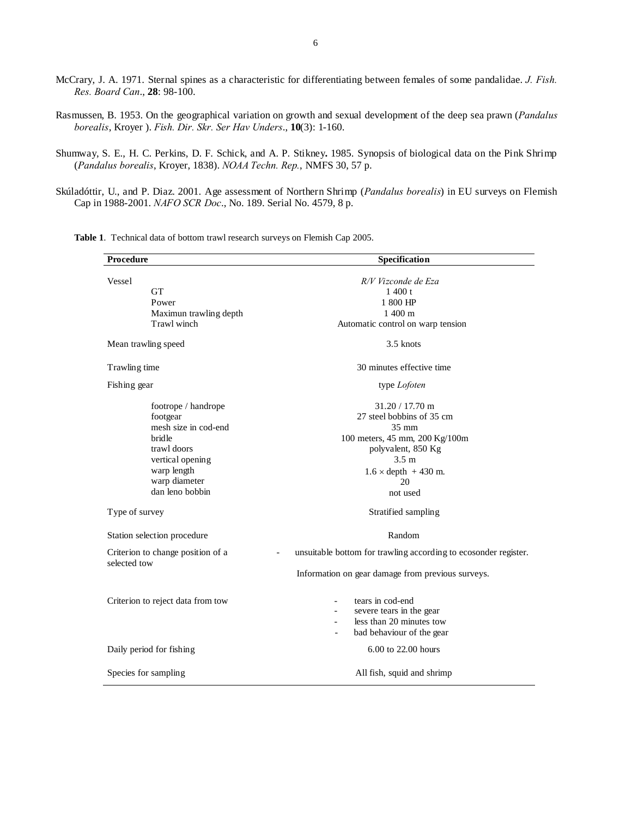McCrary, J. A. 1971. Sternal spines as a characteristic for differentiating between females of some pandalidae. *J. Fish. Res. Board Can*., **28**: 98-100.

Rasmussen, B. 1953. On the geographical variation on growth and sexual development of the deep sea prawn (*Pandalus borealis*, Kroyer ). *Fish. Dir. Skr. Ser Hav Unders*., **10**(3): 1-160.

Shumway, S. E., H. C. Perkins, D. F. Schick, and A. P. Stikney**.** 1985. Synopsis of biological data on the Pink Shrimp (*Pandalus borealis*, Kroyer, 1838). *NOAA Techn. Rep.*, NMFS 30, 57 p.

Skúladóttir, U., and P. Diaz. 2001. Age assessment of Northern Shrimp (*Pandalus borealis*) in EU surveys on Flemish Cap in 1988-2001. *NAFO SCR Doc*., No. 189. Serial No. 4579, 8 p.

Procedure Specification **Specification** Vessel GT Power Maximun trawling depth Trawl winch *R/V Vizconde de Eza*  1 400 t 1 800 HP 1 400 m Automatic control on warp tension Mean trawling speed 3.5 knots Trawling time 30 minutes effective time Fishing gear footrope / handrope footgear mesh size in cod-end bridle trawl doors type *Lofoten*  31.20 / 17.70 m 27 steel bobbins of 35 cm 35 mm 100 meters, 45 mm, 200 Kg/100m polyvalent, 850 Kg vertical opening warp length warp diameter dan leno bobbin 3.5 m  $1.6 \times depth$  + 430 m. 20 not used Type of survey Stratified sampling Station selection procedure Random Criterion to change position of a selected tow unsuitable bottom for trawling according to ecosonder register. Information on gear damage from previous surveys. Criterion to reject data from tow - tears in cod-end severe tears in the gear less than 20 minutes tow

Daily period for fishing 6.00 to 22.00 hours

Species for sampling  $\qquad \qquad$  All fish, squid and shrimp

bad behaviour of the gear

**Table 1**. Technical data of bottom trawl research surveys on Flemish Cap 2005.

6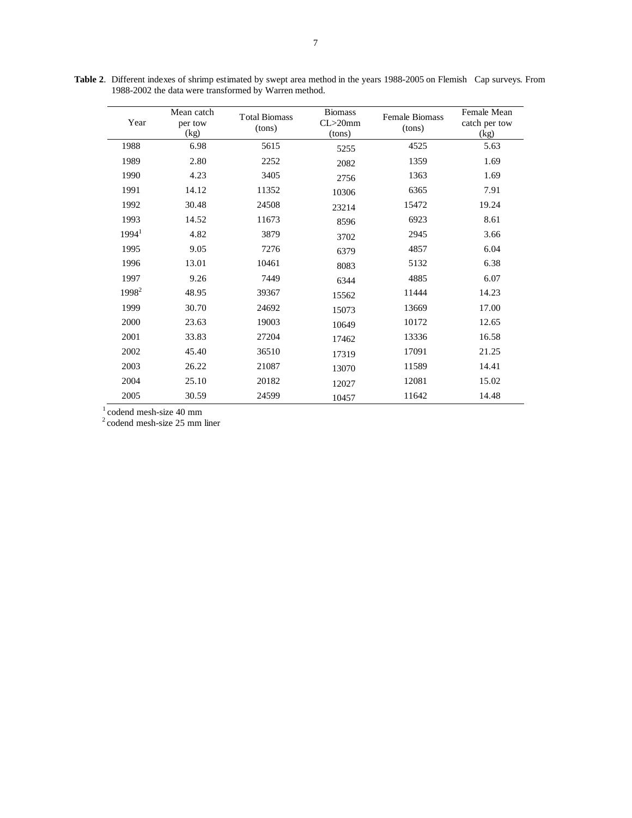| Year              | Mean catch<br>per tow<br>(kg) | <b>Total Biomass</b><br>(tons) | <b>Biomass</b><br>$CL > 20$ mm<br>(tons) | <b>Female Biomass</b><br>(tons) | Female Mean<br>catch per tow<br>(kg) |
|-------------------|-------------------------------|--------------------------------|------------------------------------------|---------------------------------|--------------------------------------|
| 1988              | 6.98                          | 5615                           | 5255                                     | 4525                            | 5.63                                 |
| 1989              | 2.80                          | 2252                           | 2082                                     | 1359                            | 1.69                                 |
| 1990              | 4.23                          | 3405                           | 2756                                     | 1363                            | 1.69                                 |
| 1991              | 14.12                         | 11352                          | 10306                                    | 6365                            | 7.91                                 |
| 1992              | 30.48                         | 24508                          | 23214                                    | 15472                           | 19.24                                |
| 1993              | 14.52                         | 11673                          | 8596                                     | 6923                            | 8.61                                 |
| 1994 <sup>1</sup> | 4.82                          | 3879                           | 3702                                     | 2945                            | 3.66                                 |
| 1995              | 9.05                          | 7276                           | 6379                                     | 4857                            | 6.04                                 |
| 1996              | 13.01                         | 10461                          | 8083                                     | 5132                            | 6.38                                 |
| 1997              | 9.26                          | 7449                           | 6344                                     | 4885                            | 6.07                                 |
| 1998 <sup>2</sup> | 48.95                         | 39367                          | 15562                                    | 11444                           | 14.23                                |
| 1999              | 30.70                         | 24692                          | 15073                                    | 13669                           | 17.00                                |
| 2000              | 23.63                         | 19003                          | 10649                                    | 10172                           | 12.65                                |
| 2001              | 33.83                         | 27204                          | 17462                                    | 13336                           | 16.58                                |
| 2002              | 45.40                         | 36510                          | 17319                                    | 17091                           | 21.25                                |
| 2003              | 26.22                         | 21087                          | 13070                                    | 11589                           | 14.41                                |
| 2004              | 25.10                         | 20182                          | 12027                                    | 12081                           | 15.02                                |
| 2005              | 30.59                         | 24599                          | 10457                                    | 11642                           | 14.48                                |

**Table 2**. Different indexes of shrimp estimated by swept area method in the years 1988-2005 on Flemish Cap surveys. From 1988-2002 the data were transformed by Warren method.

 $1$  codend mesh-size 40 mm

 $2^2$  codend mesh-size 25 mm liner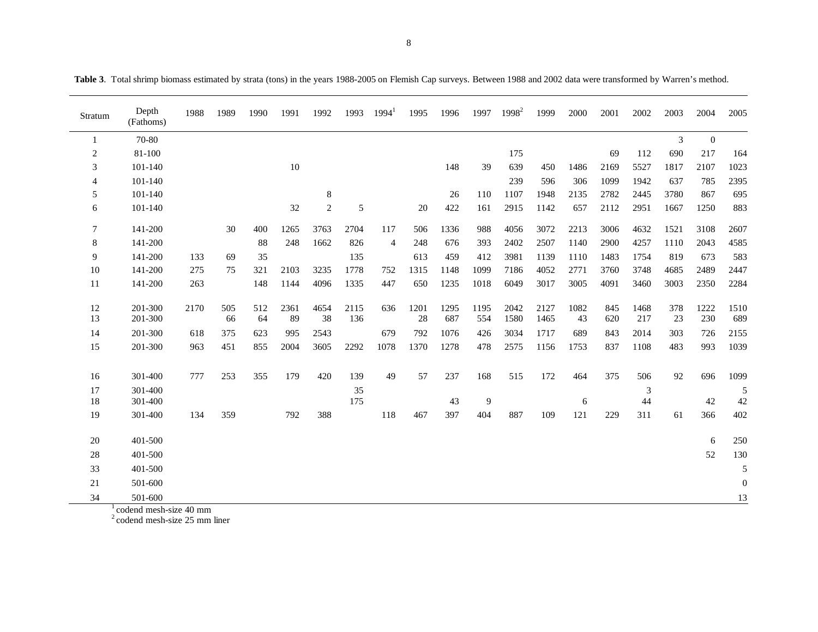| Stratum        | Depth<br>(Fathoms) | 1988 | 1989      | 1990      | 1991       | 1992       | 1993        | $1994^1$       | 1995       | 1996        | 1997        | $1998^2$     | 1999         | 2000       | 2001       | 2002        | 2003           | 2004             | 2005             |
|----------------|--------------------|------|-----------|-----------|------------|------------|-------------|----------------|------------|-------------|-------------|--------------|--------------|------------|------------|-------------|----------------|------------------|------------------|
|                | 70-80              |      |           |           |            |            |             |                |            |             |             |              |              |            |            |             | $\mathfrak{Z}$ | $\boldsymbol{0}$ |                  |
| $\overline{c}$ | 81-100             |      |           |           |            |            |             |                |            |             |             | 175          |              |            | 69         | 112         | 690            | 217              | 164              |
| 3              | 101-140            |      |           |           | 10         |            |             |                |            | 148         | 39          | 639          | 450          | 1486       | 2169       | 5527        | 1817           | 2107             | 1023             |
| $\overline{4}$ | 101-140            |      |           |           |            |            |             |                |            |             |             | 239          | 596          | 306        | 1099       | 1942        | 637            | 785              | 2395             |
| 5              | 101-140            |      |           |           |            | $\,8\,$    |             |                |            | 26          | 110         | 1107         | 1948         | 2135       | 2782       | 2445        | 3780           | 867              | 695              |
| 6              | 101-140            |      |           |           | 32         | $\sqrt{2}$ | 5           |                | 20         | 422         | 161         | 2915         | 1142         | 657        | 2112       | 2951        | 1667           | 1250             | 883              |
| $\tau$         | 141-200            |      | 30        | 400       | 1265       | 3763       | 2704        | 117            | 506        | 1336        | 988         | 4056         | 3072         | 2213       | 3006       | 4632        | 1521           | 3108             | 2607             |
| 8              | 141-200            |      |           | 88        | 248        | 1662       | 826         | $\overline{4}$ | 248        | 676         | 393         | 2402         | 2507         | 1140       | 2900       | 4257        | 1110           | 2043             | 4585             |
| 9              | 141-200            | 133  | 69        | 35        |            |            | 135         |                | 613        | 459         | 412         | 3981         | 1139         | 1110       | 1483       | 1754        | 819            | 673              | 583              |
| 10             | 141-200            | 275  | 75        | 321       | 2103       | 3235       | 1778        | 752            | 1315       | 1148        | 1099        | 7186         | 4052         | 2771       | 3760       | 3748        | 4685           | 2489             | 2447             |
| 11             | 141-200            | 263  |           | 148       | 1144       | 4096       | 1335        | 447            | 650        | 1235        | 1018        | 6049         | 3017         | 3005       | 4091       | 3460        | 3003           | 2350             | 2284             |
| 12<br>13       | 201-300<br>201-300 | 2170 | 505<br>66 | 512<br>64 | 2361<br>89 | 4654<br>38 | 2115<br>136 | 636            | 1201<br>28 | 1295<br>687 | 1195<br>554 | 2042<br>1580 | 2127<br>1465 | 1082<br>43 | 845<br>620 | 1468<br>217 | 378<br>23      | 1222<br>230      | 1510<br>689      |
| 14             | 201-300            | 618  | 375       | 623       | 995        | 2543       |             | 679            | 792        | 1076        | 426         | 3034         | 1717         | 689        | 843        | 2014        | 303            | 726              | 2155             |
| 15             | 201-300            | 963  | 451       | 855       | 2004       | 3605       | 2292        | 1078           | 1370       | 1278        | 478         | 2575         | 1156         | 1753       | 837        | 1108        | 483            | 993              | 1039             |
| 16             | 301-400            | 777  | 253       | 355       | 179        | 420        | 139         | 49             | 57         | 237         | 168         | 515          | 172          | 464        | 375        | 506         | 92             | 696              | 1099             |
| 17             | 301-400            |      |           |           |            |            | 35          |                |            |             |             |              |              |            |            | 3           |                |                  | 5                |
| 18             | 301-400            |      |           |           |            |            | 175         |                |            | 43          | 9           |              |              | 6          |            | 44          |                | 42               | 42               |
| 19             | 301-400            | 134  | 359       |           | 792        | 388        |             | 118            | 467        | 397         | 404         | 887          | 109          | 121        | 229        | 311         | 61             | 366              | 402              |
| 20             | 401-500            |      |           |           |            |            |             |                |            |             |             |              |              |            |            |             |                | 6                | 250              |
| 28             | 401-500            |      |           |           |            |            |             |                |            |             |             |              |              |            |            |             |                | 52               | 130              |
| 33             | 401-500            |      |           |           |            |            |             |                |            |             |             |              |              |            |            |             |                |                  | 5                |
| 21             | 501-600            |      |           |           |            |            |             |                |            |             |             |              |              |            |            |             |                |                  | $\boldsymbol{0}$ |
| 34             | 501-600            |      |           |           |            |            |             |                |            |             |             |              |              |            |            |             |                |                  | 13               |

**Table 3**. Total shrimp biomass estimated by strata (tons) in the years 1988-2005 on Flemish Cap surveys. Between 1988 and 2002 data were transformed by Warren's method.

 $\frac{1}{2}$  codend mesh-size 40 mm<br> $\frac{2}{2}$  codend mesh-size 25 mm liner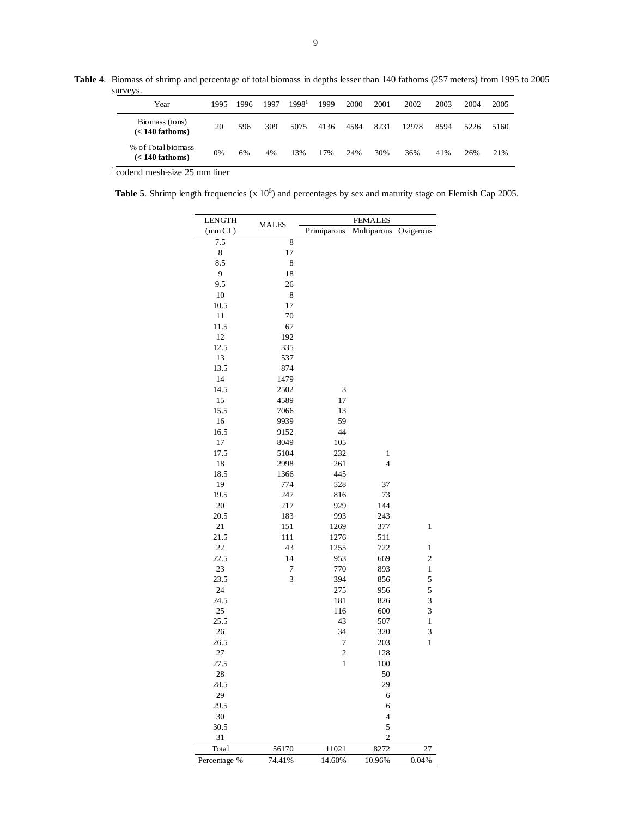**Table 4**. Biomass of shrimp and percentage of total biomass in depths lesser than 140 fathoms (257 meters) from 1995 to 2005 surveys.  $\overline{a}$ 

| Year                                    | 1995 | 1996 | 1997 | 1998 <sup>1</sup> | 1999 | 2000 | 2001 | 2002  | 2003 | 2004 | 2005 |
|-----------------------------------------|------|------|------|-------------------|------|------|------|-------|------|------|------|
| Biomass (tons)<br>$(< 140$ fathoms)     | 20   | 596  | 309  | 5075              | 4136 | 4584 | 8231 | 12978 | 8594 | 5226 | 5160 |
| % of Total biomass<br>$(< 140$ fathoms) | 0%   | 6%   | 4%   | l3%               | 17%  | 24%  | 30%  | 36%   | 41%  | 26%  | 21%  |

 $\frac{1}{1}$  codend mesh-size 25 mm liner

**Table 5.** Shrimp length frequencies  $(x 10^5)$  and percentages by sex and maturity stage on Flemish Cap 2005.

| <b>LENGTH</b> | <b>MALES</b> |                         | <b>FEMALES</b> |                         |
|---------------|--------------|-------------------------|----------------|-------------------------|
| (mmCL)        |              | Primiparous             | Multiparous    | Ovigerous               |
| 7.5           | 8            |                         |                |                         |
| 8             | 17           |                         |                |                         |
| 8.5           | 8            |                         |                |                         |
| 9             | 18           |                         |                |                         |
| 9.5           | 26           |                         |                |                         |
| $10\,$        | 8            |                         |                |                         |
| 10.5          | 17           |                         |                |                         |
| 11            | 70           |                         |                |                         |
| 11.5          | 67           |                         |                |                         |
| 12            | 192          |                         |                |                         |
| 12.5          | 335          |                         |                |                         |
| 13            | 537          |                         |                |                         |
| 13.5          | 874          |                         |                |                         |
| 14            | 1479         |                         |                |                         |
| 14.5          | 2502         | 3                       |                |                         |
| 15            | 4589         | 17                      |                |                         |
| 15.5          | 7066         | 13                      |                |                         |
| 16            | 9939         | 59                      |                |                         |
| 16.5          | 9152         | 44                      |                |                         |
| 17            | 8049         | 105                     |                |                         |
| 17.5          | 5104         | 232                     | 1              |                         |
| 18            | 2998         | 261                     | $\overline{4}$ |                         |
| 18.5          | 1366         | 445                     |                |                         |
| 19            | 774          | 528                     | 37             |                         |
| 19.5          | 247          | 816                     | 73             |                         |
| 20            | 217          | 929                     | 144            |                         |
| 20.5          | 183          | 993                     | 243            |                         |
| 21            | 151          | 1269                    | 377            | 1                       |
| 21.5          | 111          | 1276                    | 511            |                         |
| 22            | 43           | 1255                    | 722            | $\,1$                   |
| 22.5          | 14           | 953                     | 669            | $\overline{\mathbf{c}}$ |
| 23            | $\tau$       | 770                     | 893            | $\,1$                   |
| 23.5          | 3            | 394                     | 856            | 5                       |
| 24            |              | 275                     | 956            | 5                       |
| 24.5          |              | 181                     | 826            | 3                       |
| 25            |              | 116                     | 600            | 3                       |
| 25.5          |              | 43                      | 507            | 1                       |
| 26            |              | 34                      | 320            | 3                       |
| 26.5          |              | $\overline{7}$          | 203            | 1                       |
| 27            |              | $\overline{\mathbf{c}}$ | 128            |                         |
| 27.5          |              | 1                       | 100            |                         |
| 28            |              |                         | 50             |                         |
| 28.5          |              |                         | 29             |                         |
| 29            |              |                         | 6              |                         |
| 29.5          |              |                         | 6              |                         |
| 30            |              |                         | $\overline{4}$ |                         |
| 30.5          |              |                         | 5              |                         |
| 31            |              |                         | $\mathbf{2}$   |                         |
| Total         | 56170        | 11021                   | 8272           | 27                      |
| Percentage %  | 74.41%       | 14.60%                  | 10.96%         | 0.04%                   |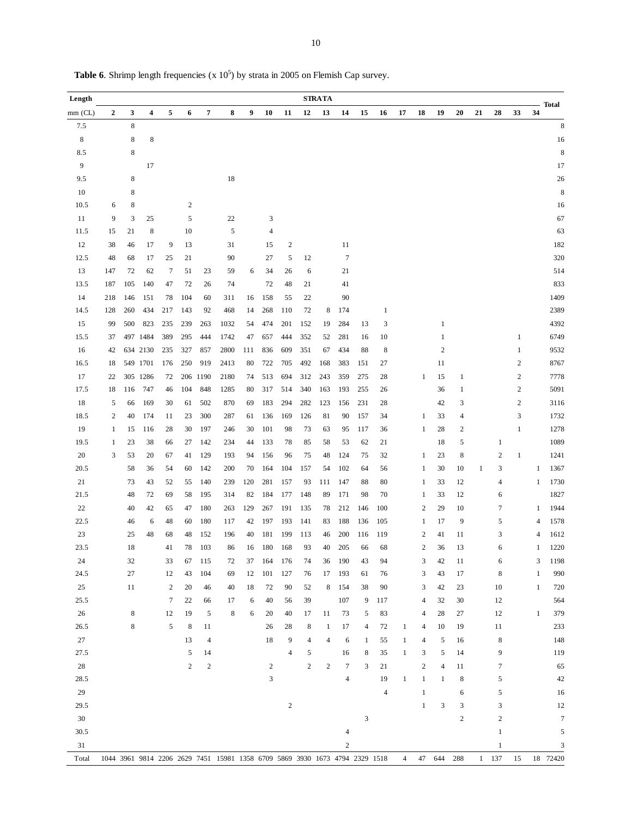| Length      |                  |             |          |                |                         |            |                                                                             |     |                |                  |                | <b>STRATA</b> |                  |                |                |                |                         |                         |                  |    |                  |                  |                | <b>Total</b>     |
|-------------|------------------|-------------|----------|----------------|-------------------------|------------|-----------------------------------------------------------------------------|-----|----------------|------------------|----------------|---------------|------------------|----------------|----------------|----------------|-------------------------|-------------------------|------------------|----|------------------|------------------|----------------|------------------|
| $mm$ (CL)   | $\boldsymbol{2}$ | 3           | 4        | 5              | 6                       | 7          | 8                                                                           | 9   | 10             | 11               | 12             | 13            | 14               | 15             | 16             | 17             | 18                      | 19                      | 20               | 21 | 28               | 33               | 34             |                  |
| 7.5         |                  | $\,$ 8 $\,$ |          |                |                         |            |                                                                             |     |                |                  |                |               |                  |                |                |                |                         |                         |                  |    |                  |                  |                | $\,$ 8 $\,$      |
| $\,$ 8 $\,$ |                  | $\,$ 8 $\,$ | 8        |                |                         |            |                                                                             |     |                |                  |                |               |                  |                |                |                |                         |                         |                  |    |                  |                  |                | 16               |
| 8.5         |                  | $\,$ 8 $\,$ |          |                |                         |            |                                                                             |     |                |                  |                |               |                  |                |                |                |                         |                         |                  |    |                  |                  |                | $\,$ 8 $\,$      |
| 9           |                  |             | 17       |                |                         |            |                                                                             |     |                |                  |                |               |                  |                |                |                |                         |                         |                  |    |                  |                  |                | 17               |
| 9.5         |                  | $\,$ 8 $\,$ |          |                |                         |            | $18\,$                                                                      |     |                |                  |                |               |                  |                |                |                |                         |                         |                  |    |                  |                  |                | 26               |
| 10          |                  | 8           |          |                |                         |            |                                                                             |     |                |                  |                |               |                  |                |                |                |                         |                         |                  |    |                  |                  |                | 8                |
| 10.5        | 6                | 8           |          |                | $\overline{\mathbf{c}}$ |            |                                                                             |     |                |                  |                |               |                  |                |                |                |                         |                         |                  |    |                  |                  |                | 16               |
| 11          | 9                | 3           | 25       |                | 5                       |            | 22                                                                          |     | 3              |                  |                |               |                  |                |                |                |                         |                         |                  |    |                  |                  |                | 67               |
| 11.5        | 15               | 21          | 8        |                | 10                      |            | 5                                                                           |     | $\overline{4}$ |                  |                |               |                  |                |                |                |                         |                         |                  |    |                  |                  |                | 63               |
| 12          | 38               | 46          | 17       | 9              | 13                      |            | 31                                                                          |     | 15             | $\boldsymbol{2}$ |                |               | 11               |                |                |                |                         |                         |                  |    |                  |                  |                | 182              |
| 12.5        | 48               | 68          | 17       | 25             | 21                      |            | 90                                                                          |     | 27             | 5                | 12             |               | $\boldsymbol{7}$ |                |                |                |                         |                         |                  |    |                  |                  |                | 320              |
| 13          | 147              | 72          | 62       | $\overline{7}$ | 51                      | 23         | 59                                                                          | 6   | 34             | 26               | 6              |               | 21               |                |                |                |                         |                         |                  |    |                  |                  |                | 514              |
| 13.5        | 187              | 105         | 140      | 47             | 72                      | 26         | 74                                                                          |     | 72             | 48               | 21             |               | 41               |                |                |                |                         |                         |                  |    |                  |                  |                | 833              |
| 14          | 218              | 146         | 151      | 78             | 104                     | 60         | 311                                                                         | 16  | 158            | 55               | 22             |               | 90               |                |                |                |                         |                         |                  |    |                  |                  |                | 1409             |
| 14.5        | 128              | 260         | 434      | 217            | 143                     | 92         | 468                                                                         | 14  | 268            | 110              | 72             | 8             | 174              |                | $\mathbf{1}$   |                |                         |                         |                  |    |                  |                  |                | 2389             |
| 15          | 99               | 500         | 823      | 235            | 239                     | 263        | 1032                                                                        | 54  | 474            | 201              | 152            | 19            | 284              | 13             | 3              |                |                         | $\mathbf{1}$            |                  |    |                  |                  |                | 4392             |
| 15.5        | 37               |             | 497 1484 | 389            | 295                     | 444        | 1742                                                                        | 47  | 657            | 444              | 352            | 52            | 281              | 16             | 10             |                |                         | 1                       |                  |    |                  | $\mathbf{1}$     |                | 6749             |
| 16          | 42               |             | 634 2130 | 235            | 327                     | 857        | 2800                                                                        | 111 | 836            | 609              | 351            | 67            | 434              | 88             | 8              |                |                         | $\overline{\mathbf{c}}$ |                  |    |                  | $\mathbf{1}$     |                | 9532             |
| 16.5        | 18               |             | 549 1701 | 176            | 250                     | 919        | 2413                                                                        | 80  | 722            | 705              | 492            | 168           | 383              | 151            | 27             |                |                         | 11                      |                  |    |                  | $\boldsymbol{2}$ |                | 8767             |
| 17          | 22               |             | 305 1286 | 72             |                         | 206 1190   | 2180                                                                        | 74  | 513            | 694              | 312            | 243           | 359              | 275            | 28             |                | 1                       | 15                      | $\mathbf{1}$     |    |                  | $\sqrt{2}$       |                | 7778             |
| 17.5        | 18               | 116         | 747      | 46             | 104                     | 848        | 1285                                                                        | 80  | 317            | 514              | 340            | 163           | 193              | 255            | 26             |                |                         | 36                      | $\mathbf{1}$     |    |                  | $\sqrt{2}$       |                | 5091             |
| 18          | 5                | 66          | 169      | 30             | 61                      | 502        | 870                                                                         | 69  | 183            | 294              | 282            | 123           | 156              | 231            | 28             |                |                         | 42                      | 3                |    |                  | $\sqrt{2}$       |                | 3116             |
| 18.5        | $\boldsymbol{2}$ | 40          | 174      | 11             | 23                      | 300        | 287                                                                         | 61  | 136            | 169              | 126            | 81            | 90               | 157            | 34             |                | 1                       | 33                      | $\overline{4}$   |    |                  | 3                |                | 1732             |
| 19          | 1                | 15          | 116      | 28             | 30                      | 197        | 246                                                                         | 30  | 101            | 98               | 73             | 63            | 95               | 117            | 36             |                | 1                       | 28                      | $\boldsymbol{2}$ |    |                  | $\mathbf{1}$     |                | 1278             |
| 19.5        | 1                | 23          | 38       | 66             | 27                      | 142        | 234                                                                         | 44  | 133            | 78               | 85             | 58            | 53               | 62             | 21             |                |                         | 18                      | 5                |    | $\mathbf{1}$     |                  |                | 1089             |
| 20          | 3                | 53          | 20       | 67             | 41                      | 129        | 193                                                                         | 94  | 156            | 96               | 75             | 48            | 124              | 75             | 32             |                | $\mathbf{1}$            | 23                      | 8                |    | $\boldsymbol{2}$ | $\,1$            |                | 1241             |
| 20.5        |                  | 58          | 36       | 54             | 60                      | 142        | 200                                                                         | 70  | 164            | 104              | 157            | 54            | 102              | 64             | 56             |                | 1                       | 30                      | 10               | 1  | 3                |                  | 1              | 1367             |
| 21          |                  | 73          | 43       | 52             | 55                      | 140        | 239                                                                         | 120 | 281            | 157              | 93             | 111           | 147              | 88             | 80             |                | 1                       | 33                      | 12               |    | 4                |                  | 1              | 1730             |
| 21.5        |                  | 48          | 72       | 69             | 58                      | 195        | 314                                                                         | 82  | 184            | 177              | 148            | 89            | 171              | 98             | 70             |                | 1                       | 33                      | 12               |    | 6                |                  |                | 1827             |
| $22\,$      |                  | 40          | 42       | 65             | 47                      | 180        | 263                                                                         | 129 | 267            | 191              | 135            | 78            | 212              | 146            | 100            |                | $\mathfrak{2}$          | 29                      | 10               |    | 7                |                  | 1              | 1944             |
| 22.5        |                  | 46          | 6        | 48             | 60                      | 180        | 117                                                                         | 42  | 197            | 193              | 141            | 83            | 188              | 136            | 105            |                | $\mathbf{1}$            | 17                      | 9                |    | 5                |                  | $\overline{4}$ | 1578             |
| 23          |                  | 25          | 48       | 68             | 48                      | 152        | 196                                                                         | 40  | 181            | 199              | 113            | 46            | 200              | 116            | 119            |                | $\overline{\mathbf{c}}$ | 41                      | 11               |    | 3                |                  | $\overline{4}$ | 1612             |
| 23.5        |                  | 18          |          | 41             | 78                      | 103        | 86                                                                          | 16  | 180            | 168              | 93             | 40            | 205              | 66             | 68             |                | $\mathfrak{2}$          | 36                      | 13               |    | 6                |                  | 1              | 1220             |
| 24          |                  | 32          |          | 33             | 67                      | 115        | 72                                                                          | 37  | 164            | 176              | 74             | 36            | 190              | 43             | 94             |                | 3                       | 42                      | 11               |    | 6                |                  | 3              | 1198             |
| 24.5        |                  | 27          |          | 12             | 43                      | 104        | 69                                                                          | 12  | 101            | 127              | 76             | 17            | 193              | 61             | 76             |                | 3                       | 43                      | 17               |    | 8                |                  | $\mathbf{1}$   | 990              |
| $25\,$      |                  | 11          |          | $\overline{c}$ | 20                      | 46         | 40                                                                          | 18  | 72             | 90               | 52             | 8             | 154              | 38             | 90             |                | 3                       | 42                      | 23               |    | 10               |                  | $\mathbf{1}$   | 720              |
| 25.5        |                  |             |          | 7              | 22                      | 66         | 17                                                                          | 6   | 40             | 56               | 39             |               | 107              | 9              | 117            |                | 4                       | 32                      | 30               |    | 12               |                  |                | 564              |
| 26          |                  | $\,$ 8 $\,$ |          | 12             | 19                      | 5          | 8                                                                           | 6   | 20             | 40               | 17             | 11            | 73               | 5              | 83             |                | 4                       | 28                      | 27               |    | 12               |                  | 1              | 379              |
| 26.5        |                  | 8           |          | 5              | 8                       | 11         |                                                                             |     | 26             | 28               | 8              | $\mathbf{1}$  | 17               | $\overline{4}$ | 72             | 1              | 4                       | 10                      | 19               |    | 11               |                  |                | 233              |
| $27\,$      |                  |             |          |                | 13                      | 4          |                                                                             |     | 18             | 9                | $\overline{4}$ | 4             | 6                | 1              | 55             | $\mathbf{1}$   | 4                       | 5                       | 16               |    | $\,$ 8 $\,$      |                  |                | 148              |
| 27.5        |                  |             |          |                | 5                       | 14         |                                                                             |     |                | 4                | 5              |               | 16               | 8              | 35             | $\mathbf{1}$   | 3                       | 5                       | 14               |    | 9                |                  |                | 119              |
| $28\,$      |                  |             |          |                | $\sqrt{2}$              | $\sqrt{2}$ |                                                                             |     | $\sqrt{2}$     |                  | $\sqrt{2}$     | $\mathbf{2}$  | $\tau$           | 3              | 21             |                | $\boldsymbol{2}$        | 4                       | 11               |    | 7                |                  |                | 65               |
| 28.5        |                  |             |          |                |                         |            |                                                                             |     | 3              |                  |                |               | $\overline{4}$   |                | 19             | $\mathbf{1}$   | $\mathbf{1}$            | $\mathbf{1}$            | 8                |    | 5                |                  |                | 42               |
| 29          |                  |             |          |                |                         |            |                                                                             |     |                |                  |                |               |                  |                | $\overline{4}$ |                | $\mathbf{1}$            |                         | 6                |    | 5                |                  |                | 16               |
| 29.5        |                  |             |          |                |                         |            |                                                                             |     |                | $\sqrt{2}$       |                |               |                  |                |                |                | $\mathbf{1}$            | 3                       | 3                |    | 3                |                  |                | 12               |
| $30\,$      |                  |             |          |                |                         |            |                                                                             |     |                |                  |                |               |                  | 3              |                |                |                         |                         | $\sqrt{2}$       |    | $\boldsymbol{2}$ |                  |                | $\boldsymbol{7}$ |
| 30.5        |                  |             |          |                |                         |            |                                                                             |     |                |                  |                |               | 4                |                |                |                |                         |                         |                  |    | $\mathbf{1}$     |                  |                | 5                |
| 31          |                  |             |          |                |                         |            |                                                                             |     |                |                  |                |               | $\boldsymbol{2}$ |                |                |                |                         |                         |                  |    | $\mathbf{1}$     |                  |                | 3                |
| Total       |                  |             |          |                |                         |            | 1044 3961 9814 2206 2629 7451 15981 1358 6709 5869 3930 1673 4794 2329 1518 |     |                |                  |                |               |                  |                |                | $\overline{4}$ | 47                      | 644                     | 288              |    | $1 - 137$        | 15               |                | 18 72420         |

**Table 6.** Shrimp length frequencies  $(x 10^5)$  by strata in 2005 on Flemish Cap survey.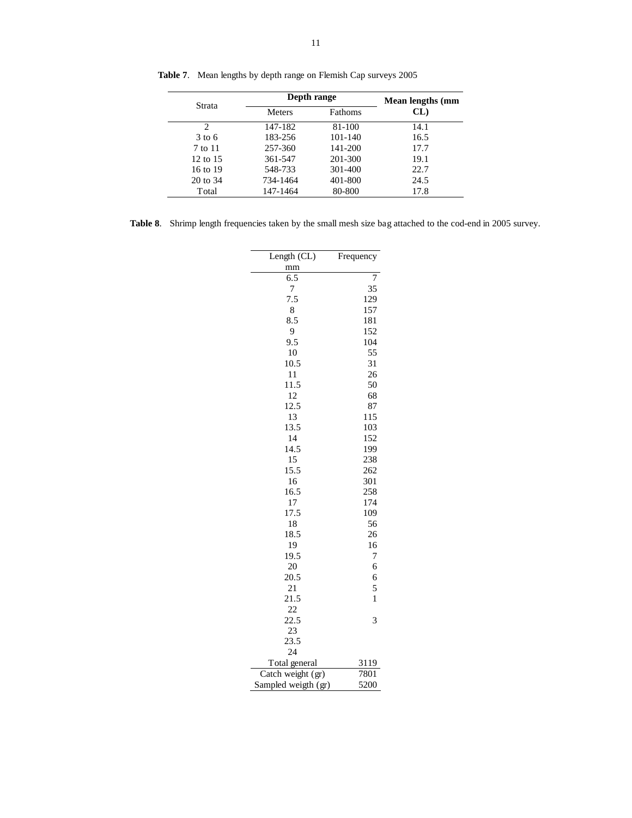|                   | Depth range   |                | Mean lengths (mm |
|-------------------|---------------|----------------|------------------|
| Strata            | <b>Meters</b> | <b>Fathoms</b> | CL               |
| 2                 | 147-182       | 81-100         | 14.1             |
| $3 \text{ to } 6$ | 183-256       | $101 - 140$    | 16.5             |
| 7 to 11           | 257-360       | 141-200        | 17.7             |
| 12 to 15          | 361-547       | 201-300        | 19.1             |
| 16 to 19          | 548-733       | 301-400        | 22.7             |
| 20 to 34          | 734-1464      | 401-800        | 24.5             |
| Total             | 147-1464      | 80-800         | 17.8             |

**Table 7**. Mean lengths by depth range on Flemish Cap surveys 2005

**Table 8**. Shrimp length frequencies taken by the small mesh size bag attached to the cod-end in 2005 survey.

| Length (CL)         | Frequency    |
|---------------------|--------------|
| mm                  |              |
| 6.5                 | 7            |
| 7                   | 35           |
| 7.5                 | 129          |
| 8                   | 157          |
| 8.5                 | 181          |
| 9                   | 152          |
| 9.5                 | 104          |
| 10                  | 55           |
| 10.5                | 31           |
| 11                  | 26           |
| 11.5                | 50           |
| 12                  | 68           |
| 12.5                | 87           |
| 13                  | 115          |
| 13.5                | 103          |
| 14                  | 152          |
| 14.5                | 199          |
| 15                  | 238          |
| 15.5                | 262          |
| 16                  | 301          |
| 16.5                | 258          |
| 17                  | 174          |
| 17.5                | 109          |
| 18                  | 56           |
| 18.5                | 26           |
| 19                  | 16           |
| 19.5                | 7            |
| 20                  | 6            |
| 20.5                | 6            |
| 21                  | 5            |
| 21.5                | $\mathbf{1}$ |
| 22                  |              |
| 22.5                | 3            |
| 23                  |              |
| 23.5                |              |
| 24                  |              |
| Total general       | 3119         |
| Catch weight (gr)   | 7801         |
| Sampled weigth (gr) | 5200         |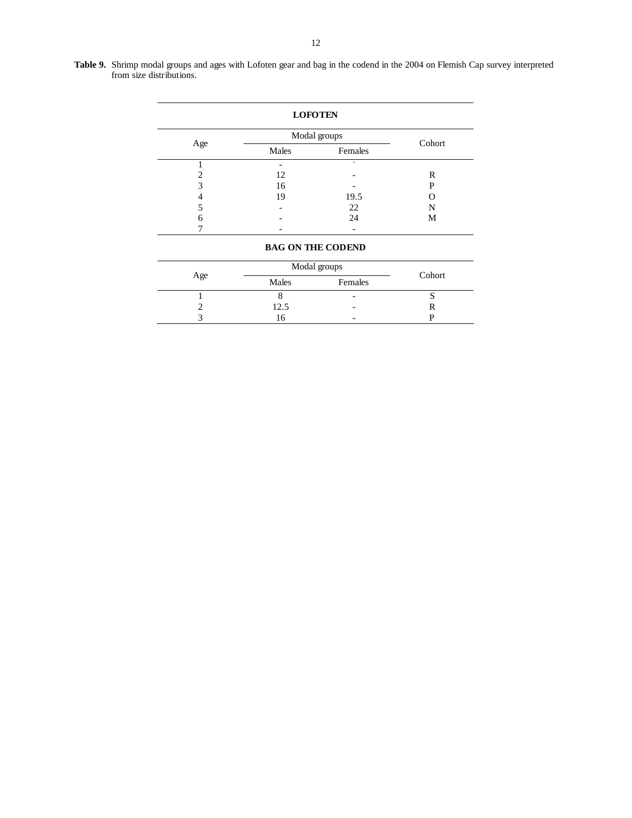| Table 9. Shrimp modal groups and ages with Lofoten gear and bag in the codend in the 2004 on Flemish Cap survey interpreted |  |
|-----------------------------------------------------------------------------------------------------------------------------|--|
| from size distributions.                                                                                                    |  |

|     |                          | <b>LOFOTEN</b> |        |
|-----|--------------------------|----------------|--------|
|     |                          | Modal groups   |        |
| Age | Males                    | Females        | Cohort |
|     |                          |                |        |
| ∍   | 12                       |                | R      |
| 3   | 16                       |                | P      |
|     | 19                       | 19.5           |        |
|     | $\overline{\phantom{0}}$ | 22             |        |
| 6   |                          | 24             | М      |
|     |                          |                |        |

# **BAG ON THE CODEND**

|     |       | Modal groups             |        |
|-----|-------|--------------------------|--------|
| Age | Males | Females                  | Cohort |
|     |       | -                        |        |
|     | 12.5  | $\overline{\phantom{0}}$ |        |
|     |       | -                        |        |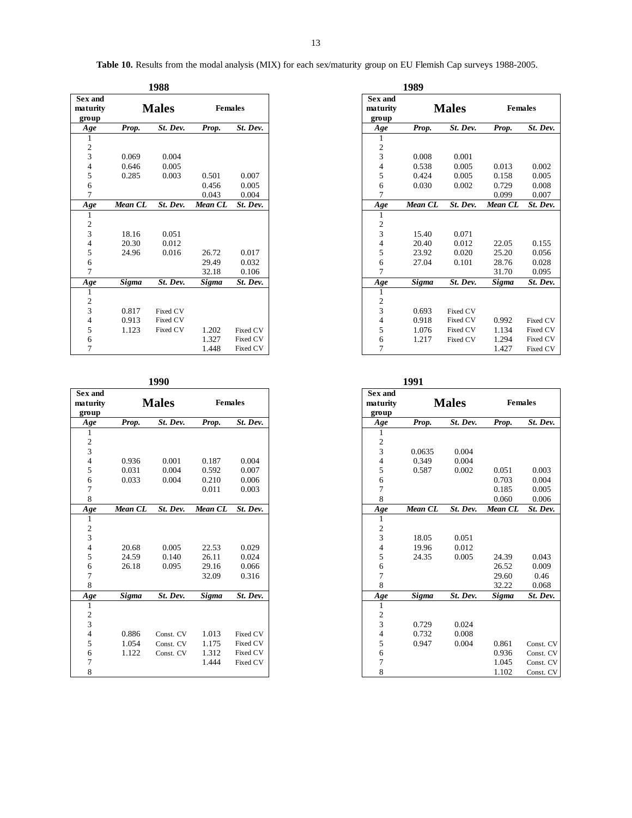Table 10. Results from the modal analysis (MIX) for each sex/maturity group on EU Flemish Cap surveys 1988-2005.

|                                     |         | 1988         |                |          |
|-------------------------------------|---------|--------------|----------------|----------|
| <b>Sex and</b><br>maturity<br>group |         | <b>Males</b> | <b>Females</b> |          |
| Age                                 | Prop.   | St. Dev.     | Prop.          | St. Dev. |
| 1                                   |         |              |                |          |
| $\frac{2}{3}$                       |         |              |                |          |
|                                     | 0.069   | 0.004        |                |          |
| $\overline{\mathbf{4}}$             | 0.646   | 0.005        |                |          |
| 5                                   | 0.285   | 0.003        | 0.501          | 0.007    |
| 6                                   |         |              | 0.456          | 0.005    |
| $\tau$                              |         |              | 0.043          | 0.004    |
| Age                                 | Mean CL | St. Dev.     | Mean CL        | St. Dev. |
| 1                                   |         |              |                |          |
| $\overline{c}$                      |         |              |                |          |
| 3                                   | 18.16   | 0.051        |                |          |
| $\overline{\mathbf{4}}$             | 20.30   | 0.012        |                |          |
| 5                                   | 24.96   | 0.016        | 26.72          | 0.017    |
| 6                                   |         |              | 29.49          | 0.032    |
| $\overline{7}$                      |         |              | 32.18          | 0.106    |
| Age                                 | Sigma   | St. Dev.     | Sigma          | St. Dev. |
| 1                                   |         |              |                |          |
| $\sqrt{2}$                          |         |              |                |          |
| $\mathfrak z$                       | 0.817   | Fixed CV     |                |          |
| $\overline{\mathbf{4}}$             | 0.913   | Fixed CV     |                |          |
| 5                                   | 1.123   | Fixed CV     | 1.202          | Fixed CV |
| 6                                   |         |              | 1.327          | Fixed CV |
| $\overline{7}$                      |         |              | 1.448          | Fixed CV |
|                                     |         |              |                |          |

| Prop.          | <b>Males</b><br>St. Dev. | <b>Females</b>                 |                                  |
|----------------|--------------------------|--------------------------------|----------------------------------|
|                |                          |                                |                                  |
|                |                          | Prop.                          | St. Dev.                         |
|                |                          |                                |                                  |
|                |                          |                                |                                  |
|                |                          |                                |                                  |
| 0.936          | 0.001                    | 0.187                          | 0.004                            |
| 0.031          | 0.004                    | 0.592                          | 0.007                            |
|                |                          |                                | 0.006                            |
|                |                          |                                | 0.003                            |
|                |                          |                                |                                  |
| <b>Mean CL</b> |                          | Mean CL                        | St. Dev.                         |
|                |                          |                                |                                  |
|                |                          |                                |                                  |
|                |                          |                                |                                  |
| 20.68          | 0.005                    | 22.53                          | 0.029                            |
| 24.59          | 0.140                    | 26.11                          | 0.024                            |
| 26.18          | 0.095                    | 29.16                          | 0.066                            |
|                |                          |                                | 0.316                            |
|                |                          |                                |                                  |
| Sigma          | St. Dev.                 | Sigma                          | St. Dev.                         |
|                |                          |                                |                                  |
|                |                          |                                |                                  |
|                |                          |                                |                                  |
| 0.886          | Const. CV                | 1.013                          | Fixed CV                         |
| 1.054          | Const. CV                | 1.175                          | Fixed CV                         |
|                |                          |                                | Fixed CV                         |
|                |                          | 1.444                          | Fixed CV                         |
|                |                          |                                |                                  |
|                | 0.033<br>1.122           | 0.004<br>St. Dev.<br>Const. CV | 0.210<br>0.011<br>32.09<br>1.312 |

|                              | 1989    |              |                |          |  |  |
|------------------------------|---------|--------------|----------------|----------|--|--|
| Sex and<br>maturity<br>group |         | <b>Males</b> | <b>Females</b> |          |  |  |
| Age                          | Prop.   | St. Dev.     | Prop.          | St. Dev. |  |  |
| 1                            |         |              |                |          |  |  |
| 2                            |         |              |                |          |  |  |
| $\overline{3}$               | 0.008   | 0.001        |                |          |  |  |
| $\overline{4}$               | 0.538   | 0.005        | 0.013          | 0.002    |  |  |
| 5                            | 0.424   | 0.005        | 0.158          | 0.005    |  |  |
| 6                            | 0.030   | 0.002        | 0.729          | 0.008    |  |  |
| 7                            |         |              | 0.099          | 0.007    |  |  |
| Age                          | Mean CL | St. Dev.     | Mean CL        | St. Dev. |  |  |
| $\mathbf{1}$                 |         |              |                |          |  |  |
|                              |         |              |                |          |  |  |
| $\frac{2}{3}$                | 15.40   | 0.071        |                |          |  |  |
| $\overline{4}$               | 20.40   | 0.012        | 22.05          | 0.155    |  |  |
| 5                            | 23.92   | 0.020        | 25.20          | 0.056    |  |  |
| 6                            | 27.04   | 0.101        | 28.76          | 0.028    |  |  |
| 7                            |         |              | 31.70          | 0.095    |  |  |
| Age                          | Sigma   | St. Dev.     | Sigma          | St. Dev. |  |  |
| $\mathbf{1}$                 |         |              |                |          |  |  |
| $\boldsymbol{2}$             |         |              |                |          |  |  |
| 3                            | 0.693   | Fixed CV     |                |          |  |  |
| $\overline{4}$               | 0.918   | Fixed CV     | 0.992          | Fixed CV |  |  |
| 5                            | 1.076   | Fixed CV     | 1.134          | Fixed CV |  |  |
| 6                            | 1.217   | Fixed CV     | 1.294          | Fixed CV |  |  |
| 7                            |         |              | 1.427          | Fixed CV |  |  |

| <b>Sex and</b>           |         |              |         |                |
|--------------------------|---------|--------------|---------|----------------|
| maturity                 |         | <b>Males</b> |         | <b>Females</b> |
| group                    |         |              |         |                |
| Age                      | Prop.   | St. Dev.     | Prop.   | St. Dev.       |
| $\mathbf{1}$             |         |              |         |                |
| 2                        |         |              |         |                |
| 3                        | 0.0635  | 0.004        |         |                |
| $\overline{4}$           | 0.349   | 0.004        |         |                |
| 5                        | 0.587   | 0.002        | 0.051   | 0.003          |
| 6                        |         |              | 0.703   | 0.004          |
| $\overline{7}$           |         |              | 0.185   | 0.005          |
| 8                        |         |              | 0.060   | 0.006          |
| Age                      | Mean CL | St. Dev.     | Mean CL | St. Dev.       |
| $\mathbf{1}$             |         |              |         |                |
| $\overline{\mathbf{c}}$  |         |              |         |                |
| 3                        | 18.05   | 0.051        |         |                |
| $\overline{\mathcal{L}}$ | 19.96   | 0.012        |         |                |
| 5                        | 24.35   | 0.005        | 24.39   | 0.043          |
| 6                        |         |              | 26.52   | 0.009          |
| 7                        |         |              | 29.60   | 0.46           |
| 8                        |         |              | 32.22   | 0.068          |
| Age                      | Sigma   | St. Dev.     | Sigma   | St. Dev.       |
| 1                        |         |              |         |                |
| $\boldsymbol{2}$         |         |              |         |                |
| 3                        | 0.729   | 0.024        |         |                |
| $\overline{4}$           | 0.732   | 0.008        |         |                |
| 5                        | 0.947   | 0.004        | 0.861   | Const. CV      |
| 6                        |         |              | 0.936   | Const. CV      |
| 7                        |         |              | 1.045   | Const. CV      |
| 8                        |         |              | 1.102   | Const. CV      |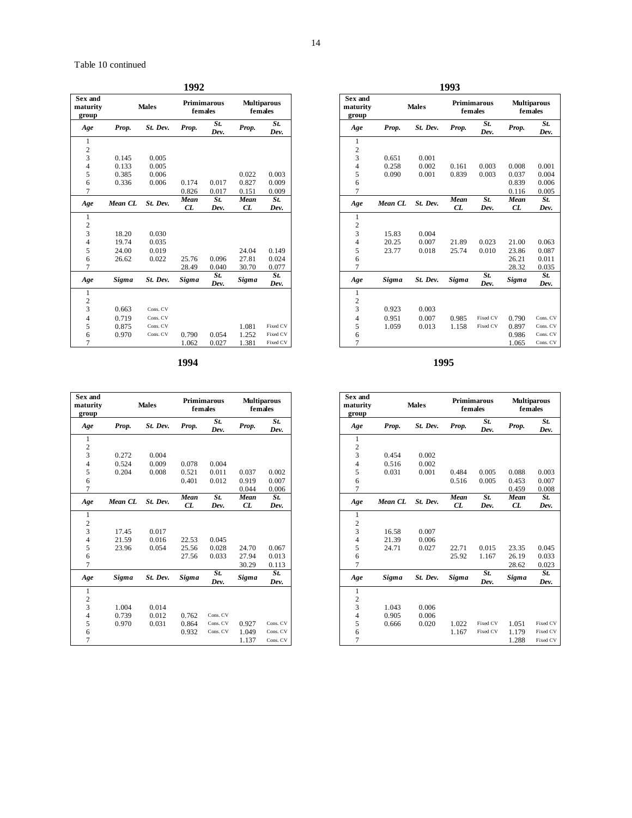| Sex and<br>maturity<br>group | <b>Males</b> |          |              | <b>Primimarous</b><br>females | <b>Multiparous</b><br>females |              |
|------------------------------|--------------|----------|--------------|-------------------------------|-------------------------------|--------------|
| Age                          | Prop.        | St. Dev. | Prop.        | St.<br>Dev.                   | Prop.                         | St.<br>Dev.  |
| 1                            |              |          |              |                               |                               |              |
| $\overline{c}$               |              |          |              |                               |                               |              |
| 3                            | 0.145        | 0.005    |              |                               |                               |              |
| 4                            | 0.133        | 0.005    |              |                               |                               |              |
| 5                            | 0.385        | 0.006    |              |                               | 0.022                         | 0.003        |
| 6                            | 0.336        | 0.006    | 0.174        | 0.017                         | 0.827                         | 0.009        |
| $\overline{7}$               |              |          | 0.826        | 0.017                         | 0.151                         | 0.009        |
| Age                          | Mean CL      | St. Dev. | Mean         | St.                           | Mean                          | St.          |
|                              |              |          | CL           | Dev.                          | CL                            | Dev.         |
| 1                            |              |          |              |                               |                               |              |
| $\overline{c}$               |              |          |              |                               |                               |              |
| 3                            | 18.20        | 0.030    |              |                               |                               |              |
| 4<br>5                       | 19.74        | 0.035    |              |                               |                               |              |
|                              | 24.00        | 0.019    |              |                               | 24.04                         | 0.149        |
| 6<br>$\overline{7}$          | 26.62        | 0.022    | 25.76        | 0.096                         | 27.81                         | 0.024        |
|                              |              |          | 28.49        | 0.040<br>St.                  | 30.70                         | 0.077<br>St. |
| Age                          | <b>Sigma</b> | St. Dev. | <b>Sigma</b> | Dev.                          | Sigma                         | Dev.         |
| $\mathbf{1}$                 |              |          |              |                               |                               |              |
| $\overline{\mathbf{c}}$      |              |          |              |                               |                               |              |
| $\overline{3}$               | 0.663        | Cons. CV |              |                               |                               |              |
| 4                            | 0.719        | Cons. CV |              |                               |                               |              |
| 5                            | 0.875        | Cons. CV |              |                               | 1.081                         | Fixed CV     |
| 6                            | 0.970        | Cons. CV | 0.790        | 0.054                         | 1.252                         | Fixed CV     |
| $\overline{7}$               |              |          | 1.062        | 0.027                         | 1.381                         | Fixed CV     |

| Sex and<br>maturity<br>group |              | <b>Males</b> |       | <b>Primimarous</b><br>females | <b>Multiparous</b><br>females |             |
|------------------------------|--------------|--------------|-------|-------------------------------|-------------------------------|-------------|
| Age                          | Prop.        | St. Dev.     | Prop. | St.<br>Dev.                   | Prop.                         | St.<br>Dev. |
| 1                            |              |              |       |                               |                               |             |
| $\overline{c}$               |              |              |       |                               |                               |             |
| 3                            | 0.272        | 0.004        |       |                               |                               |             |
| $\overline{4}$               | 0.524        | 0.009        | 0.078 | 0.004                         |                               |             |
| 5                            | 0.204        | 0.008        | 0.521 | 0.011                         | 0.037                         | 0.002       |
| 6                            |              |              | 0.401 | 0.012                         | 0.919                         | 0.007       |
| $\overline{7}$               |              |              |       |                               | 0.044                         | 0.006       |
| Age                          | Mean CL      | St. Dev.     | Mean  | St.                           | Mean                          | St.         |
|                              |              |              | CL    | Dev.                          | CL                            | Dev.        |
| 1                            |              |              |       |                               |                               |             |
| $\overline{c}$               |              |              |       |                               |                               |             |
| 3                            | 17.45        | 0.017        |       |                               |                               |             |
| $\overline{4}$               | 21.59        | 0.016        | 22.53 | 0.045                         |                               |             |
| 5                            | 23.96        | 0.054        | 25.56 | 0.028                         | 24.70                         | 0.067       |
| 6                            |              |              | 27.56 | 0.033                         | 27.94                         | 0.013       |
| $\overline{7}$               |              |              |       |                               | 30.29                         | 0.113       |
| Age                          | <b>Sigma</b> | St. Dev.     | Sigma | St.<br>Dev.                   | <b>Sigma</b>                  | St.<br>Dev. |
| 1                            |              |              |       |                               |                               |             |
| $\overline{c}$               |              |              |       |                               |                               |             |
| 3                            | 1.004        | 0.014        |       |                               |                               |             |
| $\overline{4}$               | 0.739        | 0.012        | 0.762 | Cons. CV                      |                               |             |
| 5                            | 0.970        | 0.031        | 0.864 | Cons. CV                      | 0.927                         | Cons. CV    |
| 6                            |              |              | 0.932 | Cons. CV                      | 1.049                         | Cons. CV    |
| $\overline{7}$               |              |              |       |                               | 1.137                         | Cons. CV    |

| 1992        |                                                         |              |             |
|-------------|---------------------------------------------------------|--------------|-------------|
|             | <b>Multiparous</b><br>Primimarous<br>females<br>females |              |             |
| rop.        | St.<br>Dev.                                             | Prop.        | St.<br>Dev. |
|             |                                                         |              |             |
|             |                                                         |              |             |
|             |                                                         |              |             |
|             |                                                         |              |             |
|             |                                                         | 0.022        | 0.003       |
| .174        | 0.017                                                   | 0.827        | 0.009       |
| .826        | 0.017                                                   | 0.151        | 0.009       |
| <b>Jean</b> | St.                                                     | Mean         | St.         |
|             | Dev.                                                    | CL           | Dev.        |
|             |                                                         |              |             |
|             |                                                         |              |             |
|             |                                                         |              |             |
|             |                                                         |              |             |
|             |                                                         | 24.04        | 0.149       |
| 5.76        | 0.096                                                   | 27.81        | 0.024       |
| 8.49        | 0.040                                                   | 30.70        | 0.077       |
| igma        | St.<br>Dev.                                             | <b>Sigma</b> | St.<br>Dev. |
|             |                                                         |              |             |
|             |                                                         |              |             |
|             |                                                         |              |             |
|             |                                                         |              |             |
|             |                                                         | 1.081        | Fixed CV    |
|             | 0.054                                                   | 1.252        | Fixed CV    |
|             | 0.027                                                   | 1.381        | Fixed CV    |

**1994 1995** 

| <b>Sex and</b><br>maturity<br>group | <b>Males</b> |          |              | <b>Primimarous</b><br>females | <b>Multiparous</b><br>females |             |
|-------------------------------------|--------------|----------|--------------|-------------------------------|-------------------------------|-------------|
| Age                                 | Prop.        | St. Dev. | Prop.        | St.<br>Dev.                   | Prop.                         | St.<br>Dev. |
| 1                                   |              |          |              |                               |                               |             |
| $\overline{c}$                      |              |          |              |                               |                               |             |
| 3                                   | 0.454        | 0.002    |              |                               |                               |             |
| 4                                   | 0.516        | 0.002    |              |                               |                               |             |
| 5                                   | 0.031        | 0.001    | 0.484        | 0.005                         | 0.088                         | 0.003       |
| 6                                   |              |          | 0.516        | 0.005                         | 0.453                         | 0.007       |
| 7                                   |              |          |              |                               | 0.459                         | 0.008       |
| Age                                 | Mean CL      | St. Dev. | Mean<br>CL   | St.<br>Dev.                   | Mean<br>CL                    | St.<br>Dev. |
| $\mathbf{1}$                        |              |          |              |                               |                               |             |
| $\overline{\mathbf{c}}$             |              |          |              |                               |                               |             |
| 3                                   | 16.58        | 0.007    |              |                               |                               |             |
| 4                                   | 21.39        | 0.006    |              |                               |                               |             |
| 5                                   | 24.71        | 0.027    | 22.71        | 0.015                         | 23.35                         | 0.045       |
| 6                                   |              |          | 25.92        | 1.167                         | 26.19                         | 0.033       |
| 7                                   |              |          |              |                               | 28.62                         | 0.023       |
| Age                                 | <b>Sigma</b> | St. Dev. | <b>Sigma</b> | St.<br>Dev.                   | <b>Sigma</b>                  | St.<br>Dev. |
| $\mathbf{1}$                        |              |          |              |                               |                               |             |
| $\overline{c}$                      |              |          |              |                               |                               |             |
| 3                                   | 1.043        | 0.006    |              |                               |                               |             |
| $\overline{4}$                      | 0.905        | 0.006    |              |                               |                               |             |
| 5                                   | 0.666        | 0.020    | 1.022        | Fixed CV                      | 1.051                         | Fixed CV    |
| 6                                   |              |          | 1.167        | Fixed CV                      | 1.179                         | Fixed CV    |
| 7                                   |              |          |              |                               | 1.288                         | Fixed CV    |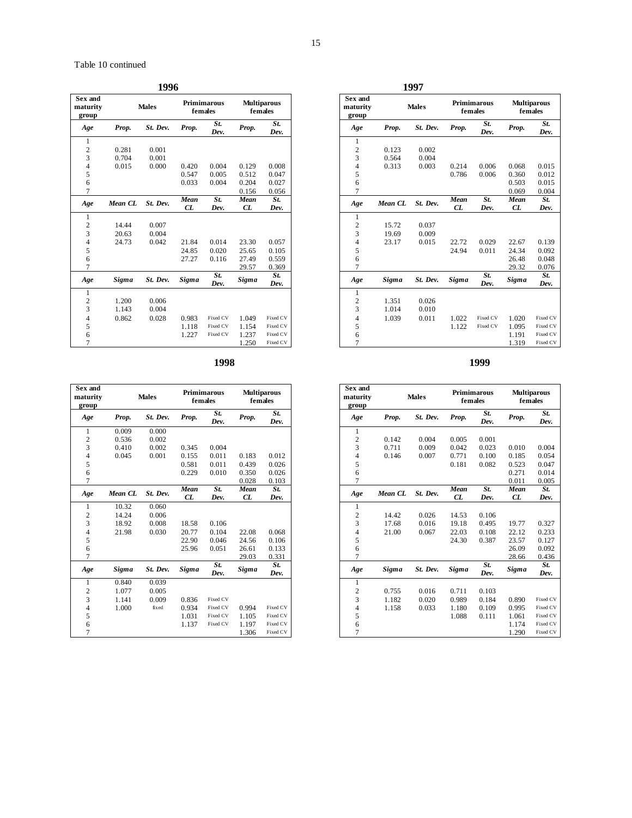|                                     |              | 1996         |            |                        |            |                               |
|-------------------------------------|--------------|--------------|------------|------------------------|------------|-------------------------------|
| <b>Sex and</b><br>maturity<br>group |              | <b>Males</b> |            | Primimarous<br>females |            | <b>Multiparous</b><br>females |
| Age                                 | Prop.        | St. Dev.     | Prop.      | St.<br>Dev.            | Prop.      | St.<br>Dev.                   |
| 1                                   |              |              |            |                        |            |                               |
| $\overline{c}$                      | 0.281        | 0.001        |            |                        |            |                               |
| 3                                   | 0.704        | 0.001        |            |                        |            |                               |
| 4                                   | 0.015        | 0.000        | 0.420      | 0.004                  | 0.129      | 0.008                         |
| 5                                   |              |              | 0.547      | 0.005                  | 0.512      | 0.047                         |
| 6                                   |              |              | 0.033      | 0.004                  | 0.204      | 0.027                         |
| 7                                   |              |              |            |                        | 0.156      | 0.056                         |
| Age                                 | Mean CL      | St. Dev.     | Mean<br>CL | St.<br>Dev.            | Mean<br>CL | St.<br>Dev.                   |
| 1                                   |              |              |            |                        |            |                               |
| $\overline{c}$                      | 14.44        | 0.007        |            |                        |            |                               |
| 3                                   | 20.63        | 0.004        |            |                        |            |                               |
| 4                                   | 24.73        | 0.042        | 21.84      | 0.014                  | 23.30      | 0.057                         |
| 5                                   |              |              | 24.85      | 0.020                  | 25.65      | 0.105                         |
| 6                                   |              |              | 27.27      | 0.116                  | 27.49      | 0.559                         |
| $\overline{7}$                      |              |              |            |                        | 29.57      | 0.369                         |
| Age                                 | <b>Sigma</b> | St. Dev.     | Sigma      | St.<br>Dev.            | Sigma      | St.<br>Dev.                   |
| 1                                   |              |              |            |                        |            |                               |
| $\overline{\mathbf{c}}$             | 1.200        | 0.006        |            |                        |            |                               |
| 3                                   | 1.143        | 0.004        |            |                        |            |                               |
| 4                                   | 0.862        | 0.028        | 0.983      | Fixed CV               | 1.049      | Fixed CV                      |
| 5                                   |              |              | 1.118      | Fixed CV               | 1.154      | Fixed CV                      |
| 6                                   |              |              | 1.227      | Fixed CV               | 1.237      | Fixed CV                      |
| $\overline{7}$                      |              |              |            |                        | 1.250      | Fixed CV                      |

**1998 1999** 

| Sex and<br>maturity<br>group | <b>Males</b> |          |       | <b>Primimarous</b><br>females | <b>Multiparous</b><br>females |             |
|------------------------------|--------------|----------|-------|-------------------------------|-------------------------------|-------------|
| Age                          | Prop.        | St. Dev. | Prop. | St.<br>Dev.                   | Prop.                         | St.<br>Dev. |
| 1                            | 0.009        | 0.000    |       |                               |                               |             |
| $\overline{c}$               | 0.536        | 0.002    |       |                               |                               |             |
| $\overline{3}$               | 0.410        | 0.002    | 0.345 | 0.004                         |                               |             |
| $\overline{4}$               | 0.045        | 0.001    | 0.155 | 0.011                         | 0.183                         | 0.012       |
| 5                            |              |          | 0.581 | 0.011                         | 0.439                         | 0.026       |
| 6                            |              |          | 0.229 | 0.010                         | 0.350                         | 0.026       |
| $\overline{7}$               |              |          |       |                               | 0.028                         | 0.103       |
| Age                          | Mean CL      | St. Dev. | Mean  | St.                           | Mean                          | St.         |
|                              |              |          | CL    | Dev.                          | CL                            | Dev.        |
| 1                            | 10.32        | 0.060    |       |                               |                               |             |
| $\overline{c}$               | 14.24        | 0.006    |       |                               |                               |             |
| 3                            | 18.92        | 0.008    | 18.58 | 0.106                         |                               |             |
| $\overline{4}$               | 21.98        | 0.030    | 20.77 | 0.104                         | 22.08                         | 0.068       |
| 5                            |              |          | 22.90 | 0.046                         | 24.56                         | 0.106       |
| 6                            |              |          | 25.96 | 0.051                         | 26.61                         | 0.133       |
| $\overline{7}$               |              |          |       |                               | 29.03                         | 0.331       |
| Age                          | <b>Sigma</b> | St. Dev. | Sigma | St.<br>Dev.                   | Sigma                         | St.<br>Dev. |
| $\mathbf{1}$                 | 0.840        | 0.039    |       |                               |                               |             |
| $\overline{c}$               | 1.077        | 0.005    |       |                               |                               |             |
| 3                            | 1.141        | 0.009    | 0.836 | Fixed CV                      |                               |             |
| $\overline{4}$               | 1.000        | fixed    | 0.934 | Fixed CV                      | 0.994                         | Fixed CV    |
| 5                            |              |          | 1.031 | Fixed CV                      | 1.105                         | Fixed CV    |
| 6                            |              |          | 1.137 | Fixed CV                      | 1.197                         | Fixed CV    |
| $\overline{7}$               |              |          |       |                               | 1.306                         | Fixed CV    |

| Sex and<br>maturity<br>group | <b>Males</b> |          |              | <b>Primimarous</b><br>females | <b>Multiparous</b><br>females |             |
|------------------------------|--------------|----------|--------------|-------------------------------|-------------------------------|-------------|
| Age                          | Prop.        | St. Dev. | Prop.        | St.<br>Dev.                   | Prop.                         | St.<br>Dev. |
| $\mathbf{1}$                 |              |          |              |                               |                               |             |
| $\overline{c}$               | 0.123        | 0.002    |              |                               |                               |             |
| 3                            | 0.564        | 0.004    |              |                               |                               |             |
| $\overline{4}$               | 0.313        | 0.003    | 0.214        | 0.006                         | 0.068                         | 0.015       |
| 5                            |              |          | 0.786        | 0.006                         | 0.360                         | 0.012       |
| 6                            |              |          |              |                               | 0.503                         | 0.015       |
| $\overline{7}$               |              |          |              |                               | 0.069                         | 0.004       |
| Age                          | Mean CL      | St. Dev. | Mean         | St.                           | Mean                          | St.         |
|                              |              |          | CL           | Dev.                          | CL                            | Dev.        |
| 1                            |              |          |              |                               |                               |             |
| $\overline{c}$               | 15.72        | 0.037    |              |                               |                               |             |
| 3                            | 19.69        | 0.009    |              |                               |                               |             |
| $\overline{4}$               | 23.17        | 0.015    | 22.72        | 0.029                         | 22.67                         | 0.139       |
| 5                            |              |          | 24.94        | 0.011                         | 24.34                         | 0.092       |
| 6                            |              |          |              |                               | 26.48                         | 0.048       |
| $\overline{7}$               |              |          |              |                               | 29.32                         | 0.076       |
| Age                          | <b>Sigma</b> | St. Dev. | <b>Sigma</b> | St.<br>Dev.                   | <b>Sigma</b>                  | St.<br>Dev. |
| 1                            |              |          |              |                               |                               |             |
| $\overline{\mathbf{c}}$      | 1.351        | 0.026    |              |                               |                               |             |
| $\overline{3}$               | 1.014        | 0.010    |              |                               |                               |             |
| $\overline{4}$               | 1.039        | 0.011    | 1.022        | Fixed CV                      | 1.020                         | Fixed CV    |
| 5                            |              |          | 1.122        | Fixed CV                      | 1.095                         | Fixed CV    |
| 6                            |              |          |              |                               | 1.191                         | Fixed CV    |
| $\overline{7}$               |              |          |              |                               | 1.319                         | Fixed CV    |

| Sex and<br>maturity<br>group | <b>Males</b> |          | <b>Primimarous</b><br>females |             | <b>Multiparous</b><br>females |                   |
|------------------------------|--------------|----------|-------------------------------|-------------|-------------------------------|-------------------|
| Age                          | Prop.        | St. Dev. | Prop.                         | St.<br>Dev. | Prop.                         | St.<br>Dev.       |
| 1                            |              |          |                               |             |                               |                   |
| $\overline{c}$               | 0.142        | 0.004    | 0.005                         | 0.001       |                               |                   |
| 3                            | 0.711        | 0.009    | 0.042                         | 0.023       | 0.010                         | 0.004             |
| 4                            | 0.146        | 0.007    | 0.771                         | 0.100       | 0.185                         | 0.054             |
| 5                            |              |          | 0.181                         | 0.082       | 0.523                         | 0.047             |
| 6                            |              |          |                               |             | 0.271                         | 0.014             |
| 7                            |              |          |                               |             | 0.011                         | 0.005             |
| Age                          | Mean CL      | St. Dev. | Mean                          | St.         | Mean                          | $\overline{St}$ . |
|                              |              |          | CL                            | Dev.        | CL                            | Dev.              |
| 1                            |              |          |                               |             |                               |                   |
| $\overline{c}$               | 14.42        | 0.026    | 14.53                         | 0.106       |                               |                   |
| 3                            | 17.68        | 0.016    | 19.18                         | 0.495       | 19.77                         | 0.327             |
| $\overline{4}$               | 21.00        | 0.067    | 22.03                         | 0.108       | 22.12                         | 0.233             |
| 5                            |              |          | 24.30                         | 0.387       | 23.57                         | 0.127             |
| 6                            |              |          |                               |             | 26.09                         | 0.092             |
| 7                            |              |          |                               |             | 28.66                         | 0.436             |
| Age                          | <b>Sigma</b> | St. Dev. | <b>Sigma</b>                  | St.<br>Dev. | <b>Sigma</b>                  | St.<br>Dev.       |
| $\mathbf{1}$                 |              |          |                               |             |                               |                   |
| $\overline{c}$               | 0.755        | 0.016    | 0.711                         | 0.103       |                               |                   |
| 3                            | 1.182        | 0.020    | 0.989                         | 0.184       | 0.890                         | Fixed CV          |
| 4                            | 1.158        | 0.033    | 1.180                         | 0.109       | 0.995                         | Fixed CV          |
| 5                            |              |          | 1.088                         | 0.111       | 1.061                         | Fixed CV          |
| 6                            |              |          |                               |             | 1.174                         | Fixed CV          |
| 7                            |              |          |                               |             | 1.290                         | Fixed CV          |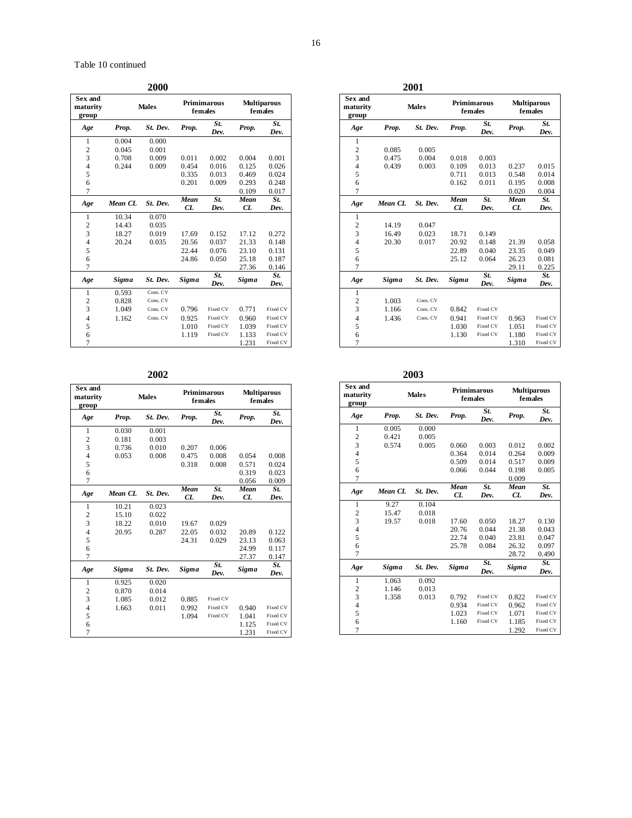|                                     |              | 2000         |                        |             |                               |             |  |  |  |  |  |  |
|-------------------------------------|--------------|--------------|------------------------|-------------|-------------------------------|-------------|--|--|--|--|--|--|
| <b>Sex and</b><br>maturity<br>group |              | <b>Males</b> | Primimarous<br>females |             | <b>Multiparous</b><br>females |             |  |  |  |  |  |  |
| Age                                 | Prop.        | St. Dev.     | Prop.                  | St.<br>Dev. | Prop.                         | St.<br>Dev. |  |  |  |  |  |  |
| 1                                   | 0.004        | 0.000        |                        |             |                               |             |  |  |  |  |  |  |
| $\overline{c}$                      | 0.045        | 0.001        |                        |             |                               |             |  |  |  |  |  |  |
| 3                                   | 0.708        | 0.009        | 0.011                  | 0.002       | 0.004                         | 0.001       |  |  |  |  |  |  |
| 4                                   | 0.244        | 0.009        | 0.454                  | 0.016       | 0.125                         | 0.026       |  |  |  |  |  |  |
| 5                                   |              |              | 0.335                  | 0.013       | 0.469                         | 0.024       |  |  |  |  |  |  |
| 6                                   |              |              | 0.201                  | 0.009       | 0.293                         | 0.248       |  |  |  |  |  |  |
| 7                                   |              |              |                        |             | 0.109                         | 0.017       |  |  |  |  |  |  |
| Age                                 | Mean CL      | St. Dev.     | Mean<br>CL             | St.<br>Dev. | Mean<br>CL                    | St.<br>Dev. |  |  |  |  |  |  |
| 1                                   | 10.34        | 0.070        |                        |             |                               |             |  |  |  |  |  |  |
| $\overline{c}$                      | 14.43        | 0.035        |                        |             |                               |             |  |  |  |  |  |  |
| 3                                   | 18.27        | 0.019        | 17.69                  | 0.152       | 17.12                         | 0.272       |  |  |  |  |  |  |
| 4                                   | 20.24        | 0.035        | 20.56                  | 0.037       | 21.33                         | 0.148       |  |  |  |  |  |  |
| 5                                   |              |              | 22.44                  | 0.076       | 23.10                         | 0.131       |  |  |  |  |  |  |
| 6                                   |              |              | 24.86                  | 0.050       | 25.18                         | 0.187       |  |  |  |  |  |  |
| $\overline{7}$                      |              |              |                        |             | 27.36                         | 0.146       |  |  |  |  |  |  |
| Age                                 | <b>Sigma</b> | St. Dev.     | Sigma                  | St.<br>Dev. | Sigma                         | St.<br>Dev. |  |  |  |  |  |  |
| 1                                   | 0.593        | Cons. CV     |                        |             |                               |             |  |  |  |  |  |  |
| $\overline{c}$                      | 0.828        | Cons. CV     |                        |             |                               |             |  |  |  |  |  |  |
| 3                                   | 1.049        | Cons. CV     | 0.796                  | Fixed CV    | 0.771                         | Fixed CV    |  |  |  |  |  |  |
| 4                                   | 1.162        | Cons. CV     | 0.925                  | Fixed CV    | 0.960                         | Fixed CV    |  |  |  |  |  |  |
| 5                                   |              |              | 1.010                  | Fixed CV    | 1.039                         | Fixed CV    |  |  |  |  |  |  |
| 6                                   |              |              | 1.119                  | Fixed CV    | 1.133                         | Fixed CV    |  |  |  |  |  |  |
| $\overline{7}$                      |              |              |                        |             | 1.231                         | Fixed CV    |  |  |  |  |  |  |

| 2003 |
|------|
|      |

| Sex and<br>maturity<br>group |         | <b>Males</b> |       | <b>Primimarous</b><br>females | <b>Multiparous</b><br>females |             |  |  |
|------------------------------|---------|--------------|-------|-------------------------------|-------------------------------|-------------|--|--|
| Age                          | Prop.   | St. Dev.     | Prop. | St.<br>Dev.                   | Prop.                         | St.<br>Dev. |  |  |
| 1                            | 0.030   | 0.001        |       |                               |                               |             |  |  |
| $\overline{c}$               | 0.181   | 0.003        |       |                               |                               |             |  |  |
| 3                            | 0.736   | 0.010        | 0.207 | 0.006                         |                               |             |  |  |
| $\overline{4}$               | 0.053   | 0.008        | 0.475 | 0.008                         | 0.054                         | 0.008       |  |  |
| 5                            |         |              | 0.318 | 0.008                         | 0.571                         | 0.024       |  |  |
| 6                            |         |              |       |                               | 0.319                         | 0.023       |  |  |
| $\overline{7}$               |         |              |       |                               | 0.056                         | 0.009       |  |  |
| Age                          | Mean CL | St. Dev.     | Mean  | St.                           | Mean                          | St.         |  |  |
|                              |         |              | CL    | Dev.                          | CL                            | Dev.        |  |  |
| $\mathbf{1}$                 | 10.21   | 0.023        |       |                               |                               |             |  |  |
| $\overline{c}$               | 15.10   | 0.022        |       |                               |                               |             |  |  |
| 3                            | 18.22   | 0.010        | 19.67 | 0.029                         |                               |             |  |  |
| $\overline{4}$               | 20.95   | 0.287        | 22.05 | 0.032                         | 20.89                         | 0.122       |  |  |
| 5                            |         |              | 24.31 | 0.029                         | 23.13                         | 0.063       |  |  |
| 6                            |         |              |       |                               | 24.99                         | 0.117       |  |  |
| $\overline{7}$               |         |              |       |                               | 27.37                         | 0.147       |  |  |
| Age                          | Sigma   | St. Dev.     | Sigma | St.<br>Dev.                   | Sigma                         | St.<br>Dev. |  |  |
| 1                            | 0.925   | 0.020        |       |                               |                               |             |  |  |
| $\overline{c}$               | 0.870   | 0.014        |       |                               |                               |             |  |  |
| 3                            | 1.085   | 0.012        | 0.885 | Fixed CV                      |                               |             |  |  |
| $\overline{4}$               | 1.663   | 0.011        | 0.992 | Fixed CV                      | 0.940                         | Fixed CV    |  |  |
| 5                            |         |              | 1.094 | Fixed CV                      | 1.041                         | Fixed CV    |  |  |
| 6                            |         |              |       |                               | 1.125                         | Fixed CV    |  |  |
| $\overline{7}$               |         |              |       |                               | 1.231                         | Fixed CV    |  |  |

| <b>Sex and</b><br>maturity<br>group |              | <b>Males</b> |              | <b>Primimarous</b><br>females | <b>Multiparous</b><br>females |             |  |  |
|-------------------------------------|--------------|--------------|--------------|-------------------------------|-------------------------------|-------------|--|--|
| Age                                 | Prop.        | St. Dev.     | Prop.        | St.<br>Dev.                   | Prop.                         | St.<br>Dev. |  |  |
| $\mathbf{1}$                        |              |              |              |                               |                               |             |  |  |
| $\overline{c}$                      | 0.085        | 0.005        |              |                               |                               |             |  |  |
| 3                                   | 0.475        | 0.004        | 0.018        | 0.003                         |                               |             |  |  |
| 4                                   | 0.439        | 0.003        | 0.109        | 0.013                         | 0.237                         | 0.015       |  |  |
| 5                                   |              |              | 0.711        | 0.013                         | 0.548                         | 0.014       |  |  |
| 6                                   |              |              | 0.162        | 0.011                         | 0.195                         | 0.008       |  |  |
| 7                                   |              |              |              |                               | 0.020                         | 0.004       |  |  |
| Age                                 | Mean CL      | St. Dev.     | Mean         | St.                           | Mean                          | St.         |  |  |
|                                     |              |              | CL           | Dev.                          | CL                            | Dev.        |  |  |
| 1                                   |              |              |              |                               |                               |             |  |  |
| $\overline{c}$                      | 14.19        | 0.047        |              |                               |                               |             |  |  |
| 3                                   | 16.49        | 0.023        | 18.71        | 0.149                         |                               |             |  |  |
| 4                                   | 20.30        | 0.017        | 20.92        | 0.148                         | 21.39                         | 0.058       |  |  |
| 5                                   |              |              | 22.89        | 0.040                         | 23.35                         | 0.049       |  |  |
| 6                                   |              |              | 25.12        | 0.064                         | 26.23                         | 0.081       |  |  |
| 7                                   |              |              |              |                               | 29.11                         | 0.225       |  |  |
| Age                                 | <b>Sigma</b> | St. Dev.     | <b>Sigma</b> | St.<br>Dev.                   | <b>Sigma</b>                  | St.<br>Dev. |  |  |
| 1                                   |              |              |              |                               |                               |             |  |  |
| $\overline{c}$                      | 1.003        | Cons. CV     |              |                               |                               |             |  |  |
| 3                                   | 1.166        | Cons. CV     | 0.842        | Fixed CV                      |                               |             |  |  |
| $\overline{4}$                      | 1.436        | Cons. CV     | 0.941        | Fixed CV                      | 0.963                         | Fixed CV    |  |  |
| 5                                   |              |              | 1.030        | Fixed CV                      | 1.051                         | Fixed CV    |  |  |
| 6                                   |              |              | 1.130        | Fixed CV                      | 1.180                         | Fixed CV    |  |  |
| 7                                   |              |              |              |                               | 1.310                         | Fixed CV    |  |  |

| Sex and<br>maturity<br>group |              | <b>Males</b> |       | <b>Primimarous</b><br>females |              | <b>Multiparous</b><br>females |
|------------------------------|--------------|--------------|-------|-------------------------------|--------------|-------------------------------|
| Age                          | Prop.        | St. Dev.     | Prop. | St.<br>Dev.                   | Prop.        | St.<br>Dev.                   |
| 1                            | 0.005        | 0.000        |       |                               |              |                               |
| $\overline{c}$               | 0.421        | 0.005        |       |                               |              |                               |
| 3                            | 0.574        | 0.005        | 0.060 | 0.003                         | 0.012        | 0.002                         |
| 4                            |              |              | 0.364 | 0.014                         | 0.264        | 0.009                         |
| 5                            |              |              | 0.509 | 0.014                         | 0.517        | 0.009                         |
| 6                            |              |              | 0.066 | 0.044                         | 0.198        | 0.005                         |
| $\overline{7}$               |              |              |       |                               | 0.009        |                               |
|                              | Mean CL      | St. Dev.     | Mean  | St.                           | Mean         | St.                           |
| Age                          |              |              | CL    | Dev.                          | CL           | Dev.                          |
| $\mathbf{1}$                 | 9.27         | 0.104        |       |                               |              |                               |
| $\overline{\mathbf{c}}$      | 15.47        | 0.018        |       |                               |              |                               |
| 3                            | 19.57        | 0.018        | 17.60 | 0.050                         | 18.27        | 0.130                         |
| 4                            |              |              | 20.76 | 0.044                         | 21.38        | 0.043                         |
| 5                            |              |              | 22.74 | 0.040                         | 23.81        | 0.047                         |
| 6                            |              |              | 25.78 | 0.084                         | 26.32        | 0.097                         |
| 7                            |              |              |       |                               | 28.72        | 0.490                         |
| Age                          | <b>Sigma</b> | St. Dev.     | Sigma | St.<br>Dev.                   | <b>Sigma</b> | St.<br>Dev.                   |
| 1                            | 1.063        | 0.092        |       |                               |              |                               |
| $\overline{\mathbf{c}}$      | 1.146        | 0.013        |       |                               |              |                               |
| 3                            | 1.358        | 0.013        | 0.792 | Fixed CV                      | 0.822        | Fixed CV                      |
| $\overline{4}$               |              |              | 0.934 | Fixed CV                      | 0.962        | Fixed CV                      |
| 5                            |              |              | 1.023 | Fixed CV                      | 1.071        | Fixed CV                      |
| 6                            |              |              | 1.160 | Fixed CV                      | 1.185        | Fixed CV                      |
| 7                            |              |              |       |                               | 1.292        | Fixed CV                      |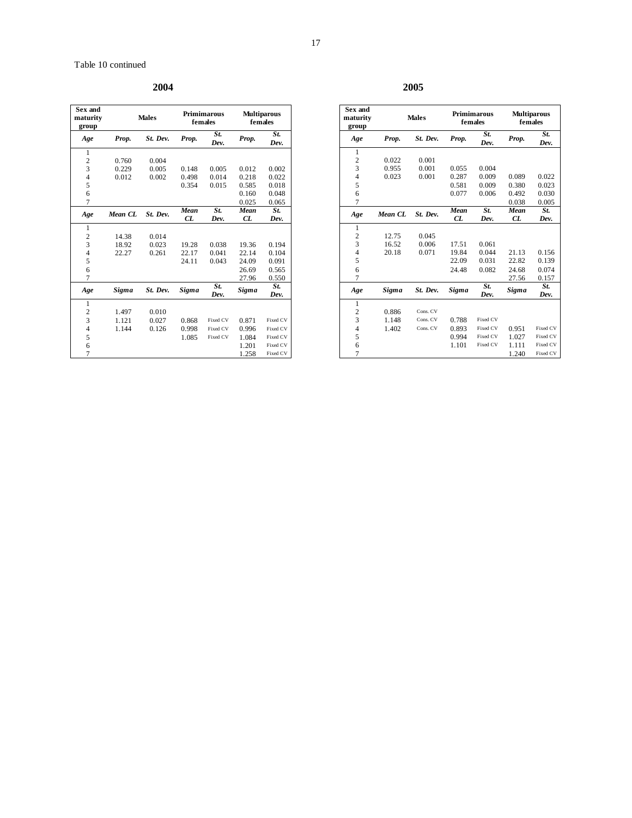**2004 2005** 

| Sex and<br>maturity<br>group |              | <b>Males</b> |              | <b>Primimarous</b><br>females |              | <b>Multiparous</b><br>females |
|------------------------------|--------------|--------------|--------------|-------------------------------|--------------|-------------------------------|
| Age                          | Prop.        | St. Dev.     | Prop.        | St.<br>Dev.                   | Prop.        | St.<br>Dev.                   |
| 1                            |              |              |              |                               |              |                               |
| $\overline{2}$               | 0.760        | 0.004        |              |                               |              |                               |
| 3                            | 0.229        | 0.005        | 0.148        | 0.005                         | 0.012        | 0.002                         |
| $\overline{4}$               | 0.012        | 0.002        | 0.498        | 0.014                         | 0.218        | 0.022                         |
| 5                            |              |              | 0.354        | 0.015                         | 0.585        | 0.018                         |
| 6                            |              |              |              |                               | 0.160        | 0.048                         |
| 7                            |              |              |              |                               | 0.025        | 0.065                         |
| Age                          | Mean CL      | St. Dev.     | Mean         | St.                           | Mean         | St.                           |
|                              |              |              | CL           | Dev.                          | CL           | Dev.                          |
| 1                            |              |              |              |                               |              |                               |
| $\overline{c}$               | 14.38        | 0.014        |              |                               |              |                               |
| 3                            | 18.92        | 0.023        | 19.28        | 0.038                         | 19.36        | 0.194                         |
| $\overline{4}$               | 22.27        | 0.261        | 22.17        | 0.041                         | 22.14        | 0.104                         |
| 5                            |              |              | 24.11        | 0.043                         | 24.09        | 0.091                         |
| 6                            |              |              |              |                               | 26.69        | 0.565                         |
| $\overline{7}$               |              |              |              |                               | 27.96        | 0.550                         |
| Age                          | <b>Sigma</b> | St. Dev.     | <b>Sigma</b> | St.                           | <b>Sigma</b> | St.                           |
|                              |              |              |              | Dev.                          |              | Dev.                          |
| 1                            |              |              |              |                               |              |                               |
| $\overline{c}$               | 1.497        | 0.010        |              |                               |              |                               |
| 3                            | 1.121        | 0.027        | 0.868        | Fixed CV                      | 0.871        | Fixed CV                      |
| $\overline{4}$               | 1.144        | 0.126        | 0.998        | Fixed CV                      | 0.996        | Fixed CV                      |
| 5                            |              |              | 1.085        | Fixed CV                      | 1.084        | Fixed CV                      |
| 6                            |              |              |              |                               | 1.201        | Fixed CV                      |
| $\overline{7}$               |              |              |              |                               | 1.258        | Fixed CV                      |

| Sex and<br>maturity<br>group |              | <b>Males</b> |              | <b>Primimarous</b><br>females | <b>Multiparous</b><br>females |             |
|------------------------------|--------------|--------------|--------------|-------------------------------|-------------------------------|-------------|
| Age                          | Prop.        | St. Dev.     | Prop.        | St.<br>Dev.                   | Prop.                         | St.<br>Dev. |
| 1                            |              |              |              |                               |                               |             |
| $\overline{\mathbf{c}}$      | 0.022        | 0.001        |              |                               |                               |             |
| 3                            | 0.955        | 0.001        | 0.055        | 0.004                         |                               |             |
| $\overline{4}$               | 0.023        | 0.001        | 0.287        | 0.009                         | 0.089                         | 0.022       |
| 5                            |              |              | 0.581        | 0.009                         | 0.380                         | 0.023       |
| 6                            |              |              | 0.077        | 0.006                         | 0.492                         | 0.030       |
| $\overline{7}$               |              |              |              |                               | 0.038                         | 0.005       |
| Age                          | Mean CL      | St. Dev.     | Mean         | St.                           | Mean                          | St.         |
|                              |              |              | CL           | Dev.                          | CL                            | Dev.        |
| 1                            |              |              |              |                               |                               |             |
| $\overline{c}$               | 12.75        | 0.045        |              |                               |                               |             |
| 3                            | 16.52        | 0.006        | 17.51        | 0.061                         |                               |             |
| $\overline{4}$               | 20.18        | 0.071        | 19.84        | 0.044                         | 21.13                         | 0.156       |
| 5                            |              |              | 22.09        | 0.031                         | 22.82                         | 0.139       |
| 6                            |              |              | 24.48        | 0.082                         | 24.68                         | 0.074       |
| 7                            |              |              |              |                               | 27.56                         | 0.157       |
| Age                          | <b>Sigma</b> | St. Dev.     | <b>Sigma</b> | St.<br>Dev.                   | Sigma                         | St.<br>Dev. |
| $\mathbf{1}$                 |              |              |              |                               |                               |             |
| $\frac{2}{3}$                | 0.886        | Cons. CV     |              |                               |                               |             |
|                              | 1.148        | Cons. CV     | 0.788        | Fixed CV                      |                               |             |
| $\overline{4}$               | 1.402        | Cons. CV     | 0.893        | Fixed CV                      | 0.951                         | Fixed CV    |
| 5                            |              |              | 0.994        | Fixed CV                      | 1.027                         | Fixed CV    |
| 6                            |              |              | 1.101        | Fixed CV                      | 1.111                         | Fixed CV    |
| $\overline{7}$               |              |              |              |                               | 1.240                         | Fixed CV    |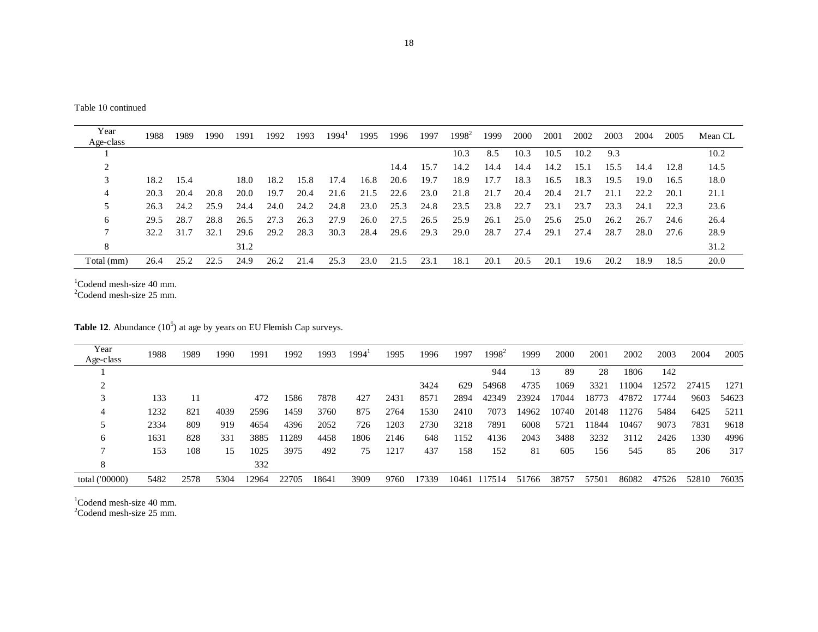| Year       | 1988 | 1989 | 1990 | 1991 | 1992 | 1993 | 1994' | 1995 | 1996 | 1997 | $1998^2$ | 1999 | 2000 | 2001 | 2002 | 2003 | 2004 | 2005 | Mean CL |
|------------|------|------|------|------|------|------|-------|------|------|------|----------|------|------|------|------|------|------|------|---------|
| Age-class  |      |      |      |      |      |      |       |      |      |      |          |      |      |      |      |      |      |      |         |
|            |      |      |      |      |      |      |       |      |      |      | 10.3     | 8.5  | 10.3 | 10.5 | 10.2 | 9.3  |      |      | 10.2    |
|            |      |      |      |      |      |      |       |      | 14.4 | 15.7 | 14.2     | 14.4 | 14.4 | 14.2 | 15.1 | 15.5 | 14.4 | 12.8 | 14.5    |
| 3          | 18.2 | 15.4 |      | 18.0 | 18.2 | 15.8 | 17.4  | 16.8 | 20.6 | 19.7 | 18.9     | 17.7 | 18.3 | 16.5 | 18.3 | 19.5 | 19.0 | 16.5 | 18.0    |
| 4          | 20.3 | 20.4 | 20.8 | 20.0 | 19.7 | 20.4 | 21.6  | 21.5 | 22.6 | 23.0 | 21.8     | 21.7 | 20.4 | 20.4 | 21.7 | 21.1 | 22.2 | 20.1 | 21.1    |
|            | 26.3 | 24.2 | 25.9 | 24.4 | 24.0 | 24.2 | 24.8  | 23.0 | 25.3 | 24.8 | 23.5     | 23.8 | 22.7 | 23.1 | 23.7 | 23.3 | 24.1 | 22.3 | 23.6    |
| 6          | 29.5 | 28.7 | 28.8 | 26.5 | 27.3 | 26.3 | 27.9  | 26.0 | 27.5 | 26.5 | 25.9     | 26.1 | 25.0 | 25.6 | 25.0 | 26.2 | 26.7 | 24.6 | 26.4    |
|            | 32.2 | 31.7 | 32.1 | 29.6 | 29.2 | 28.3 | 30.3  | 28.4 | 29.6 | 29.3 | 29.0     | 28.7 | 27.4 | 29.1 | 27.4 | 28.7 | 28.0 | 27.6 | 28.9    |
| 8          |      |      |      | 31.2 |      |      |       |      |      |      |          |      |      |      |      |      |      |      | 31.2    |
| Total (mm) | 26.4 | 25.2 | 22.5 | 24.9 | 26.2 | 21.4 | 25.3  | 23.0 | 21.5 | 23.1 | 18.1     | 20.1 | 20.5 | 20.1 | 19.6 | 20.2 | 18.9 | 18.5 | 20.0    |

 $1$ Codend mesh-size 40 mm.

 $2^2$ Codend mesh-size 25 mm.

**Table 12.** Abundance  $(10^5)$  at age by years on EU Flemish Cap surveys.

| Year<br>Age-class | 1988 | 1989 | 1990 | 1991  | 1992  | 1993  | 1994' | 1995 | 1996  | 1997 | $1998^2$     | 1999  | 2000  | 2001  | 2002  | 2003  | 2004  | 2005  |
|-------------------|------|------|------|-------|-------|-------|-------|------|-------|------|--------------|-------|-------|-------|-------|-------|-------|-------|
|                   |      |      |      |       |       |       |       |      |       |      | 944          | 13    | 89    | 28    | 1806  | 142   |       |       |
|                   |      |      |      |       |       |       |       |      | 3424  | 629  | 54968        | 4735  | 1069  | 3321  | 11004 | 12572 | 27415 | 1271  |
|                   | 133  | 11   |      | 472   | 1586  | 7878  | 427   | 2431 | 8571  | 2894 | 42349        | 23924 | 17044 | 18773 | 47872 | 17744 | 9603  | 54623 |
|                   | 1232 | 821  | 4039 | 2596  | 1459  | 3760  | 875   | 2764 | 1530  | 2410 | 7073         | 14962 | 10740 | 20148 | 11276 | 5484  | 6425  | 5211  |
|                   | 2334 | 809  | 919  | 4654  | 4396  | 2052  | 726   | 1203 | 2730  | 3218 | 7891         | 6008  | 5721  | 11844 | 10467 | 9073  | 7831  | 9618  |
| 6                 | 1631 | 828  | 331  | 3885  | 11289 | 4458  | 1806  | 2146 | 648   | 152  | 4136         | 2043  | 3488  | 3232  | 3112  | 2426  | 1330  | 4996  |
|                   | 153  | 108  | 15   | 1025  | 3975  | 492   | 75    | 1217 | 437   | 158  | 152          | 81    | 605   | 156   | 545   | 85    | 206   | 317   |
| 8                 |      |      |      | 332   |       |       |       |      |       |      |              |       |       |       |       |       |       |       |
| total ('00000)    | 5482 | 2578 | 5304 | 12964 | 22705 | 18641 | 3909  | 9760 | 17339 |      | 10461 117514 | 51766 | 38757 | 57501 | 86082 | 47526 | 52810 | 76035 |

 $1$ Codend mesh-size 40 mm.

 $2^2$ Codend mesh-size 25 mm.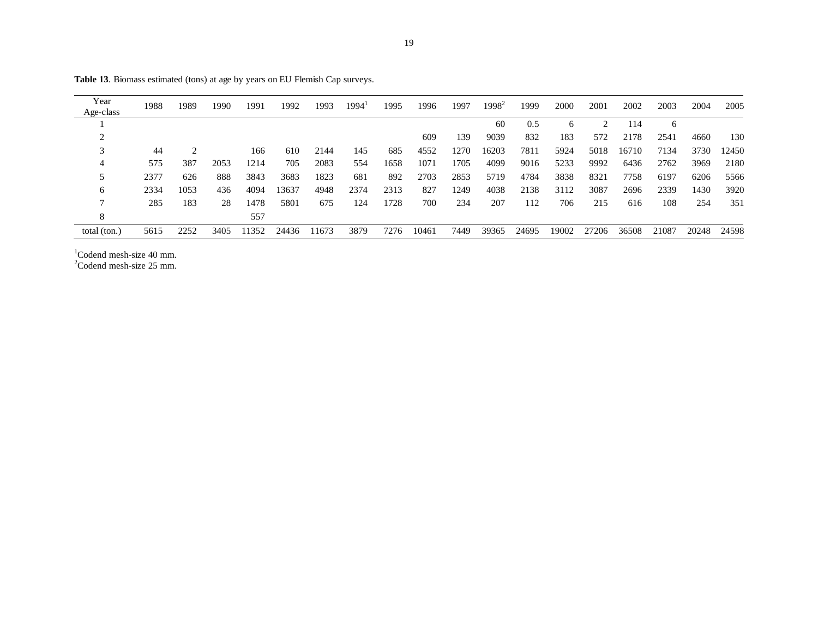| Year<br>Age-class | 1988 | 1989          | 1990 | 1991  | 1992  | 1993  | 1994' | 1995 | 1996  | 1997 | $1998^2$ | 1999  | 2000  | 2001  | 2002  | 2003  | 2004  | 2005  |
|-------------------|------|---------------|------|-------|-------|-------|-------|------|-------|------|----------|-------|-------|-------|-------|-------|-------|-------|
|                   |      |               |      |       |       |       |       |      |       |      | 60       | 0.5   | 6     | 2     | 114   | 6     |       |       |
|                   |      |               |      |       |       |       |       |      | 609   | 139  | 9039     | 832   | 183   | 572   | 2178  | 2541  | 4660  | 130   |
|                   | 44   | $\mathcal{D}$ |      | 166   | 610   | 2144  | 145   | 685  | 4552  | 1270 | 16203    | 7811  | 5924  | 5018  | 16710 | 7134  | 3730  | 12450 |
|                   | 575  | 387           | 2053 | 1214  | 705   | 2083  | 554   | 1658 | 1071  | 1705 | 4099     | 9016  | 5233  | 9992  | 6436  | 2762  | 3969  | 2180  |
|                   | 2377 | 626           | 888  | 3843  | 3683  | 1823  | 681   | 892  | 2703  | 2853 | 5719     | 4784  | 3838  | 8321  | 7758  | 6197  | 6206  | 5566  |
| 6                 | 2334 | 1053          | 436  | 4094  | 13637 | 4948  | 2374  | 2313 | 827   | 1249 | 4038     | 2138  | 3112  | 3087  | 2696  | 2339  | 1430  | 3920  |
|                   | 285  | 183           | 28   | 1478  | 5801  | 675   | 124   | 1728 | 700   | 234  | 207      | 112   | 706   | 215   | 616   | 108   | 254   | 351   |
| 8                 |      |               |      | 557   |       |       |       |      |       |      |          |       |       |       |       |       |       |       |
| total (ton.)      | 5615 | 2252          | 3405 | 11352 | 24436 | 11673 | 3879  | 7276 | 10461 | 7449 | 39365    | 24695 | 19002 | 27206 | 36508 | 21087 | 20248 | 24598 |

Table 13. Biomass estimated (tons) at age by years on EU Flemish Cap surveys.

 $1$ Codend mesh-size 40 mm.<br>  $2$ Codend mesh-size 25 mm.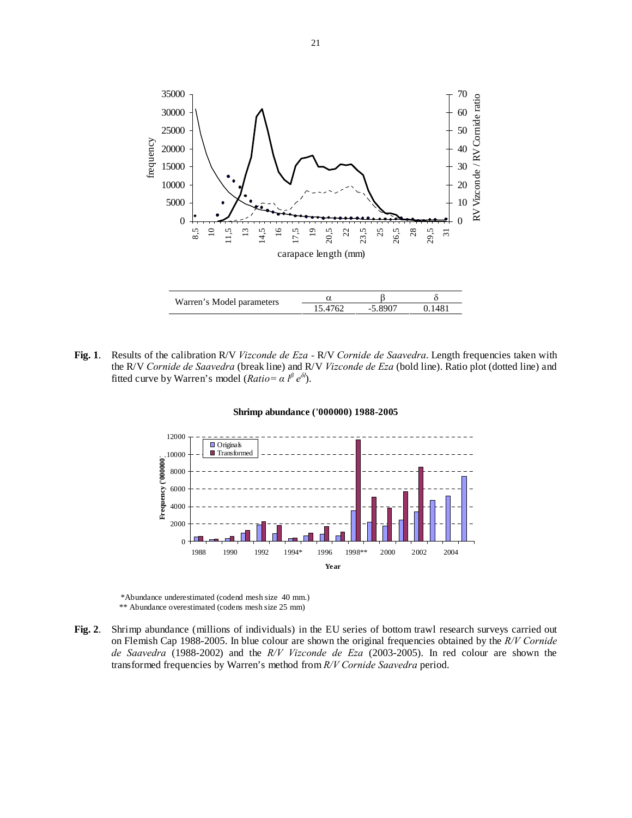

**Fig. 1**. Results of the calibration R/V *Vizconde de Eza -* R/V *Cornide de Saavedra*. Length frequencies taken with the R/V *Cornide de Saavedra* (break line) and R/V *Vizconde de Eza* (bold line). Ratio plot (dotted line) and fitted curve by Warren's model (*Ratio*=  $\alpha$  *l*<sup>β</sup>  $e^{\delta l}$ ).



#### **Shrimp abundance ('000000) 1988-2005**

\*Abundance underestimated (codend mesh size 40 mm.) \*\* Abundance overestimated (codens mesh size 25 mm)

**Fig. 2**. Shrimp abundance (millions of individuals) in the EU series of bottom trawl research surveys carried out on Flemish Cap 1988-2005. In blue colour are shown the original frequencies obtained by the *R/V Cornide de Saavedra* (1988-2002) and the *R/V Vizconde de Eza* (2003-2005). In red colour are shown the transformed frequencies by Warren's method from *R/V Cornide Saavedra* period.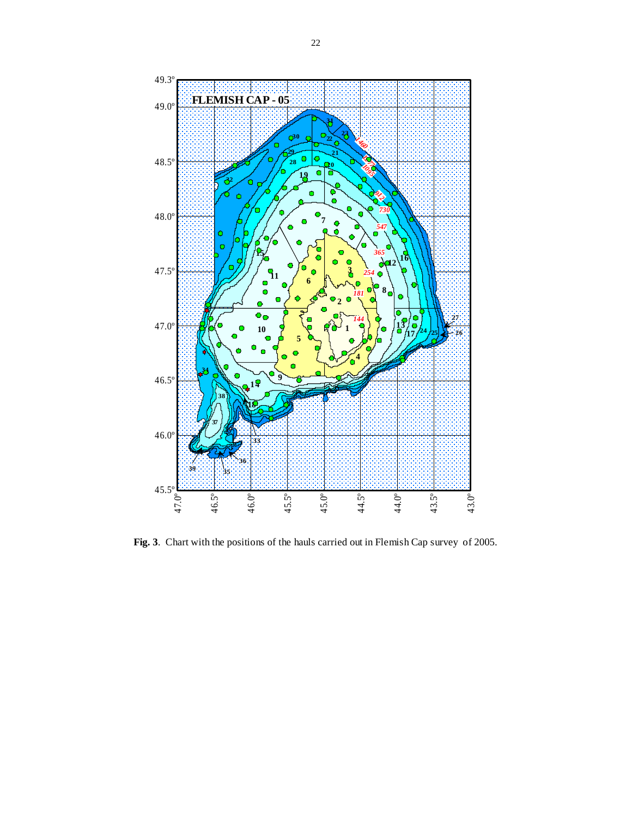

**Fig. 3**. Chart with the positions of the hauls carried out in Flemish Cap survey of 2005.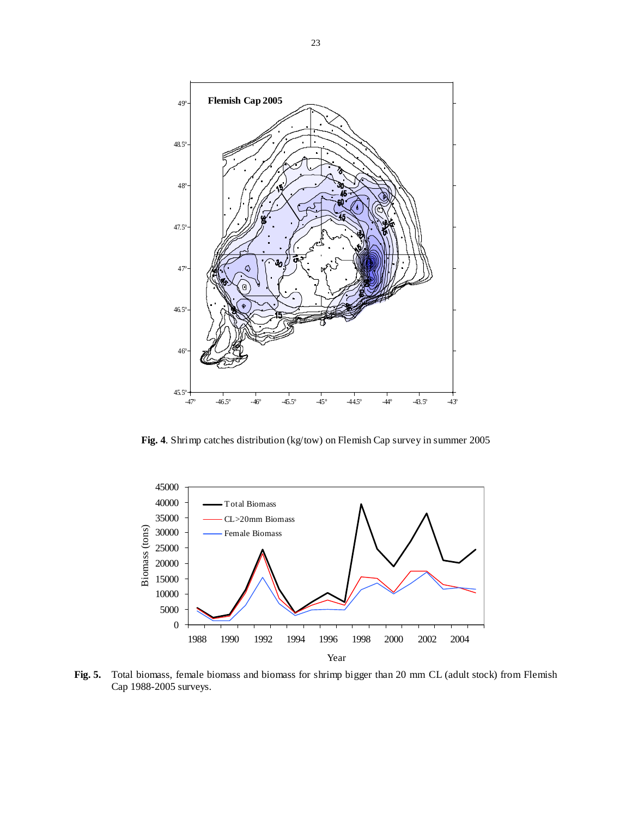

**Fig. 4**. Shrimp catches distribution (kg/tow) on Flemish Cap survey in summer 2005



**Fig. 5.** Total biomass, female biomass and biomass for shrimp bigger than 20 mm CL (adult stock) from Flemish Cap 1988-2005 surveys.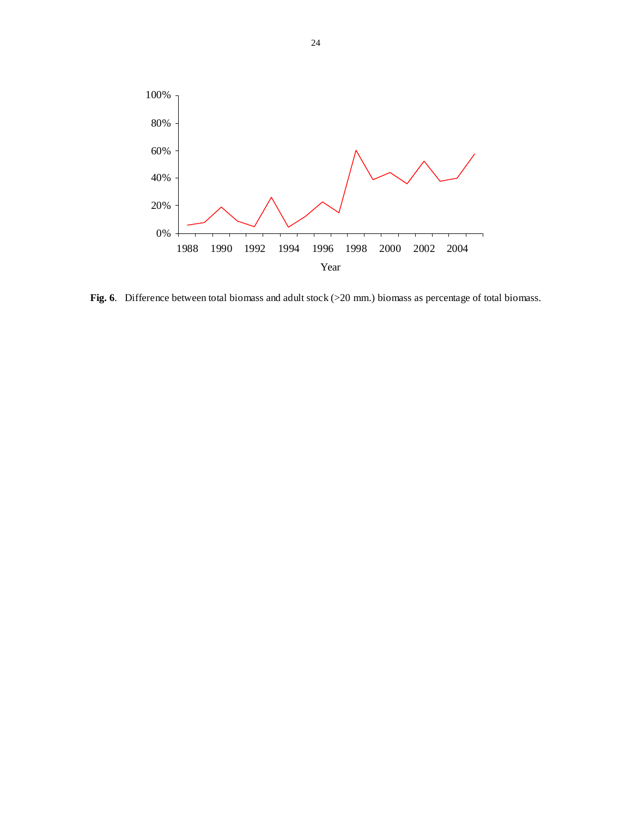

**Fig. 6**. Difference between total biomass and adult stock (>20 mm.) biomass as percentage of total biomass.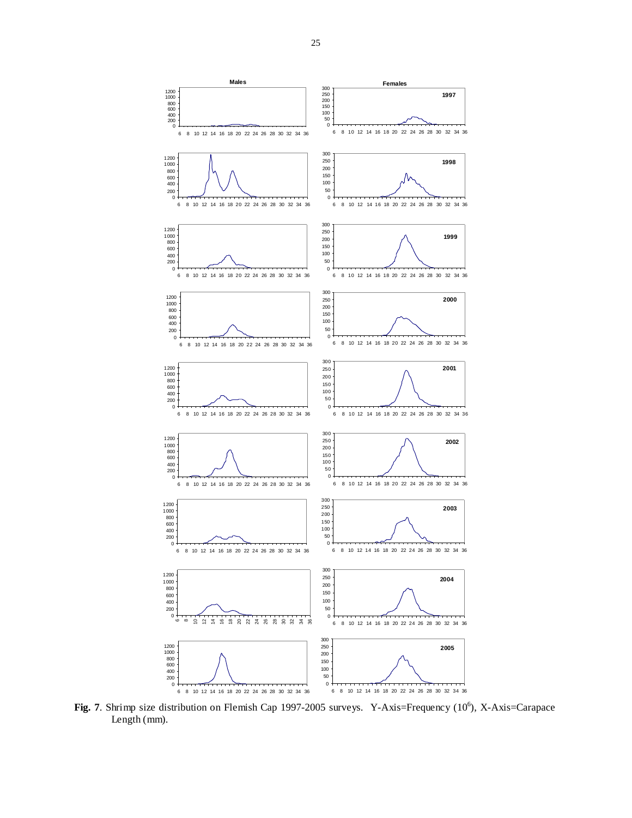

Fig. 7. Shrimp size distribution on Flemish Cap 1997-2005 surveys. Y-Axis=Frequency (10<sup>6</sup>), X-Axis=Carapace Length (mm).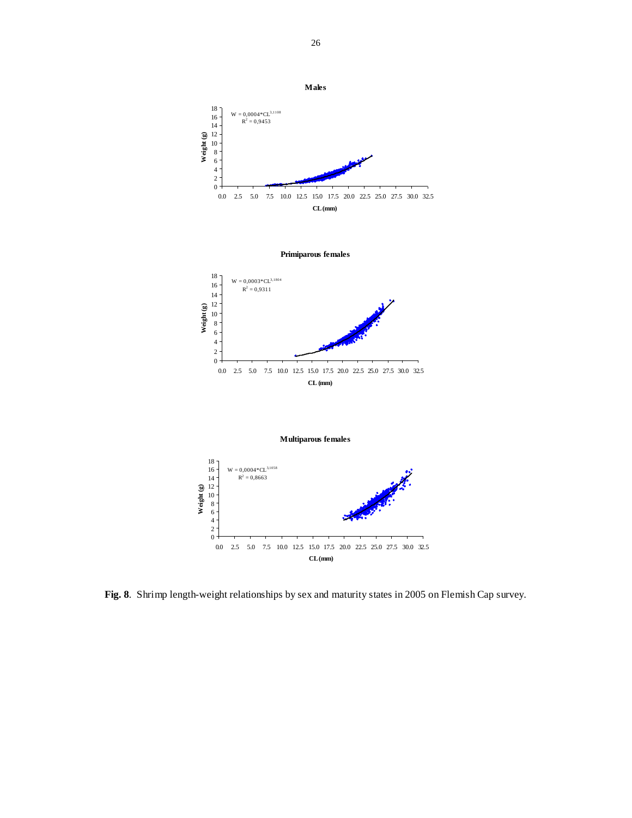

**Fig. 8**. Shrimp length-weight relationships by sex and maturity states in 2005 on Flemish Cap survey.